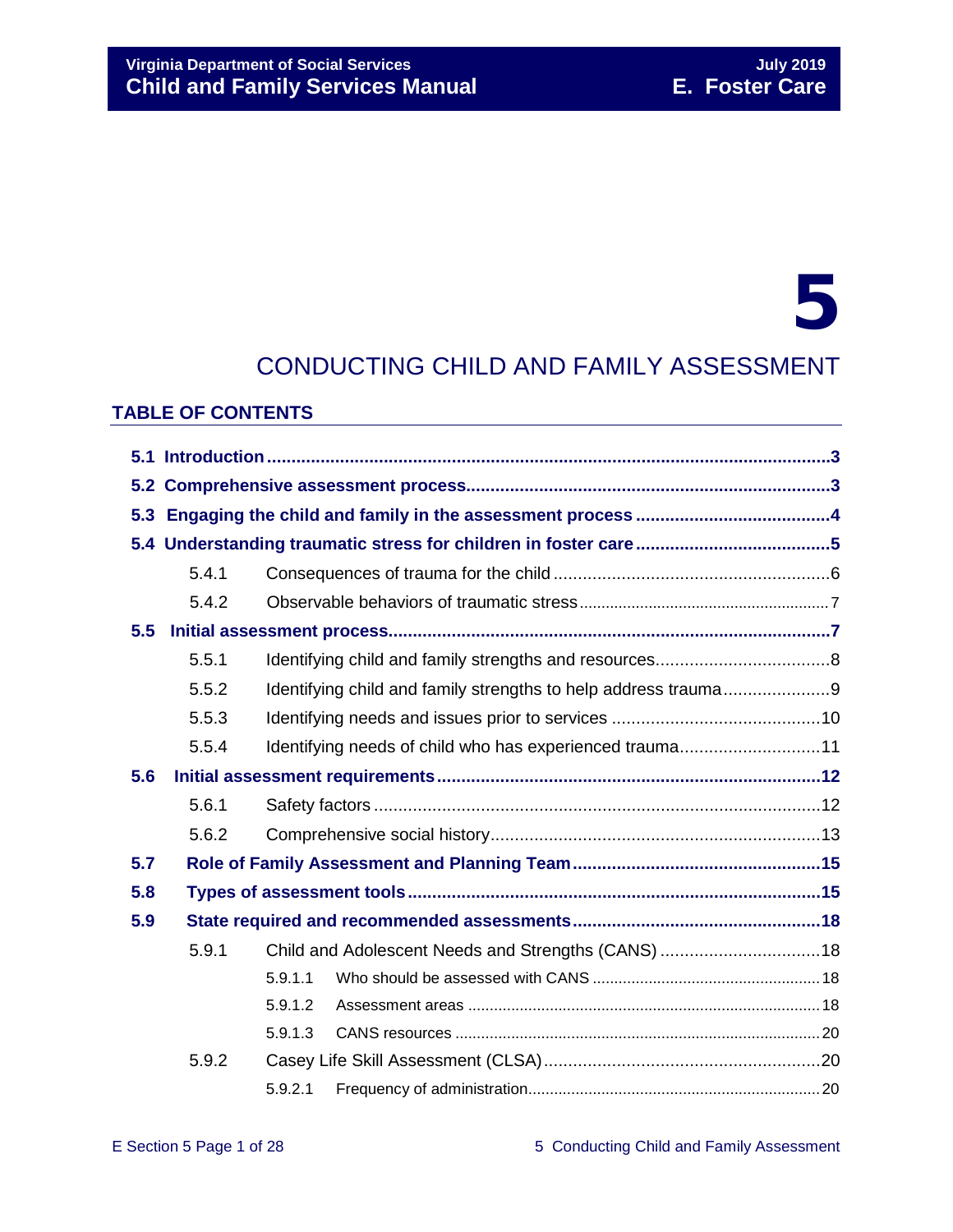# Virginia Department of Social Services<br> **Child and Family Services Manual** E. Foster Care **Child and Family Services Manual**

# 5

# CONDUCTING CHILD AND FAMILY ASSESSMENT

#### **TABLE OF CONTENTS**

|     | 5.4.1 |                                                         |                                                                |  |  |  |  |
|-----|-------|---------------------------------------------------------|----------------------------------------------------------------|--|--|--|--|
|     | 5.4.2 |                                                         |                                                                |  |  |  |  |
| 5.5 |       |                                                         |                                                                |  |  |  |  |
|     | 5.5.1 |                                                         |                                                                |  |  |  |  |
|     | 5.5.2 |                                                         | Identifying child and family strengths to help address trauma9 |  |  |  |  |
|     | 5.5.3 |                                                         |                                                                |  |  |  |  |
|     | 5.5.4 | Identifying needs of child who has experienced trauma11 |                                                                |  |  |  |  |
| 5.6 |       |                                                         |                                                                |  |  |  |  |
|     | 5.6.1 |                                                         |                                                                |  |  |  |  |
|     | 5.6.2 |                                                         |                                                                |  |  |  |  |
| 5.7 |       |                                                         |                                                                |  |  |  |  |
| 5.8 |       |                                                         |                                                                |  |  |  |  |
| 5.9 |       |                                                         |                                                                |  |  |  |  |
|     | 5.9.1 |                                                         |                                                                |  |  |  |  |
|     |       | 5.9.1.1                                                 |                                                                |  |  |  |  |
|     |       | 5.9.1.2                                                 |                                                                |  |  |  |  |
|     |       | 5.9.1.3                                                 |                                                                |  |  |  |  |
|     | 5.9.2 |                                                         |                                                                |  |  |  |  |
|     |       | 5.9.2.1                                                 |                                                                |  |  |  |  |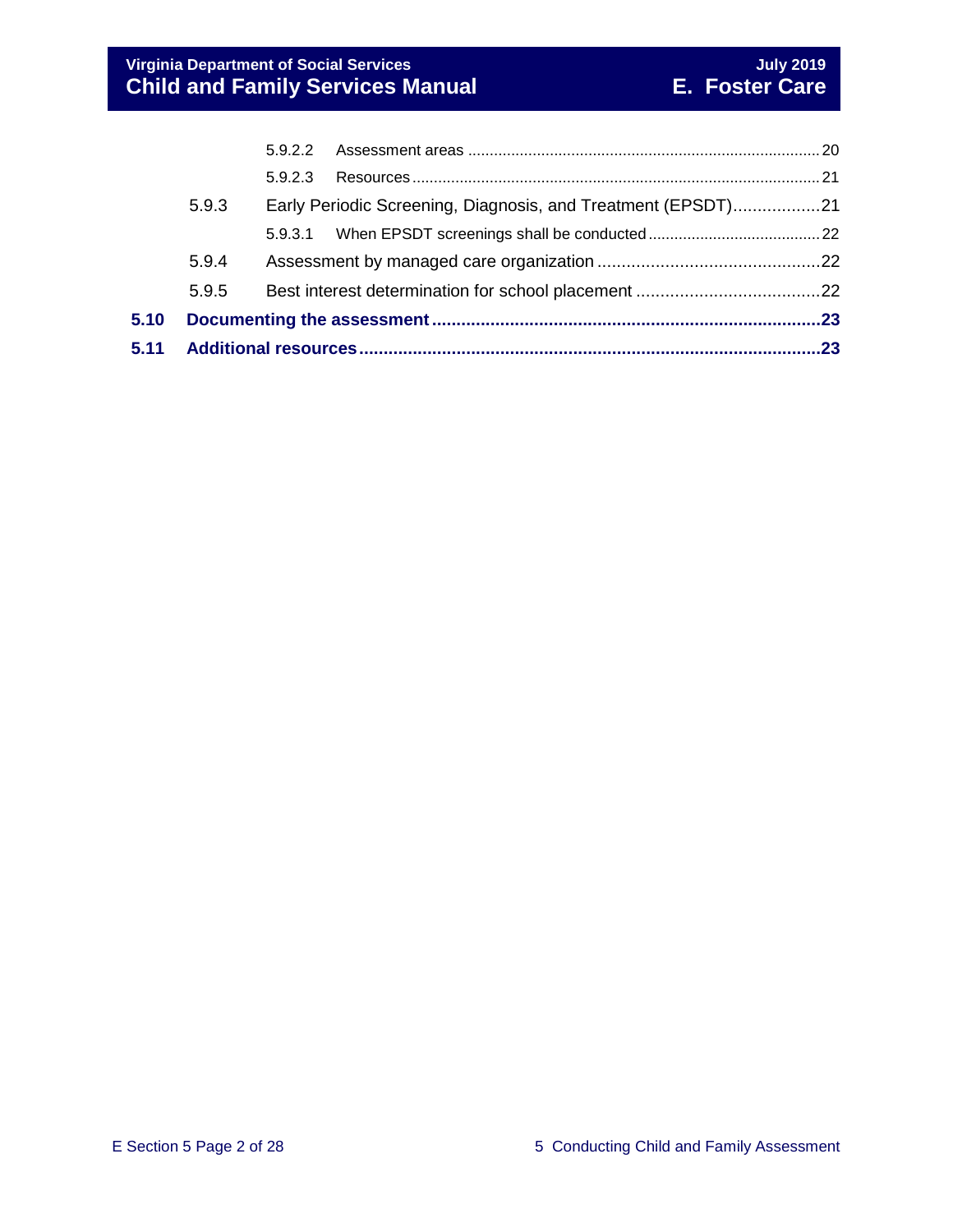| 5.11 |       |         |                                                              |  |
|------|-------|---------|--------------------------------------------------------------|--|
| 5.10 |       |         |                                                              |  |
|      | 5.9.5 |         |                                                              |  |
|      | 5.9.4 |         |                                                              |  |
|      |       |         |                                                              |  |
|      | 5.9.3 |         | Early Periodic Screening, Diagnosis, and Treatment (EPSDT)21 |  |
|      |       | 5.9.2.3 |                                                              |  |
|      |       | 5.9.2.2 |                                                              |  |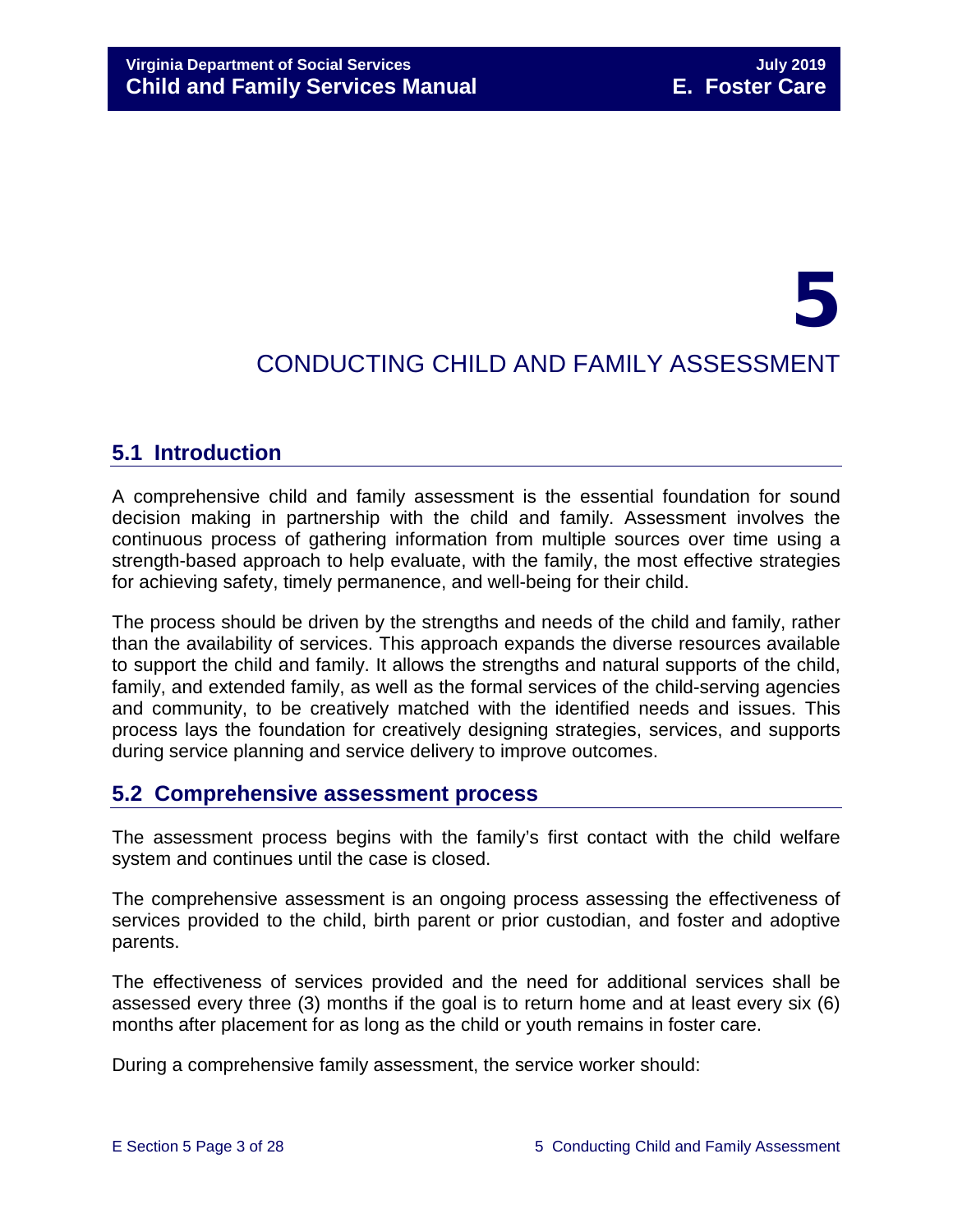# 5 CONDUCTING CHILD AND FAMILY ASSESSMENT

# <span id="page-2-0"></span>**5.1 Introduction**

A comprehensive child and family assessment is the essential foundation for sound decision making in partnership with the child and family. Assessment involves the continuous process of gathering information from multiple sources over time using a strength-based approach to help evaluate, with the family, the most effective strategies for achieving safety, timely permanence, and well-being for their child.

The process should be driven by the strengths and needs of the child and family, rather than the availability of services. This approach expands the diverse resources available to support the child and family. It allows the strengths and natural supports of the child, family, and extended family, as well as the formal services of the child-serving agencies and community, to be creatively matched with the identified needs and issues. This process lays the foundation for creatively designing strategies, services, and supports during service planning and service delivery to improve outcomes.

# <span id="page-2-1"></span>**5.2 Comprehensive assessment process**

The assessment process begins with the family's first contact with the child welfare system and continues until the case is closed.

The comprehensive assessment is an ongoing process assessing the effectiveness of services provided to the child, birth parent or prior custodian, and foster and adoptive parents.

The effectiveness of services provided and the need for additional services shall be assessed every three (3) months if the goal is to return home and at least every six (6) months after placement for as long as the child or youth remains in foster care.

During a comprehensive family assessment, the service worker should: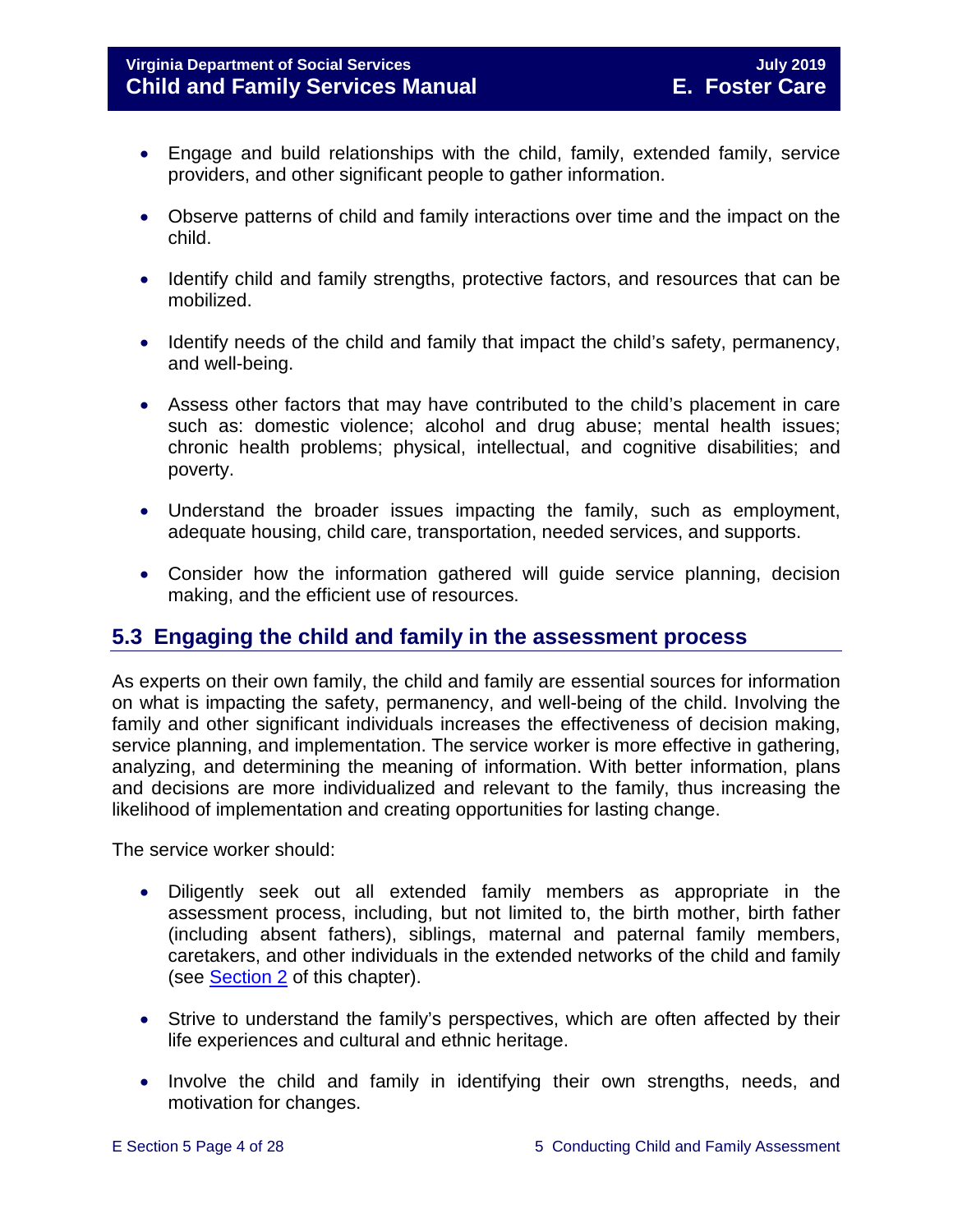- Engage and build relationships with the child, family, extended family, service providers, and other significant people to gather information.
- Observe patterns of child and family interactions over time and the impact on the child.
- Identify child and family strengths, protective factors, and resources that can be mobilized.
- Identify needs of the child and family that impact the child's safety, permanency, and well-being.
- Assess other factors that may have contributed to the child's placement in care such as: domestic violence; alcohol and drug abuse; mental health issues; chronic health problems; physical, intellectual, and cognitive disabilities; and poverty.
- Understand the broader issues impacting the family, such as employment, adequate housing, child care, transportation, needed services, and supports.
- Consider how the information gathered will guide service planning, decision making, and the efficient use of resources.

# <span id="page-3-0"></span>**5.3 Engaging the child and family in the assessment process**

As experts on their own family, the child and family are essential sources for information on what is impacting the safety, permanency, and well-being of the child. Involving the family and other significant individuals increases the effectiveness of decision making, service planning, and implementation. The service worker is more effective in gathering, analyzing, and determining the meaning of information. With better information, plans and decisions are more individualized and relevant to the family, thus increasing the likelihood of implementation and creating opportunities for lasting change.

The service worker should:

- Diligently seek out all extended family members as appropriate in the assessment process, including, but not limited to, the birth mother, birth father (including absent fathers), siblings, maternal and paternal family members, caretakers, and other individuals in the extended networks of the child and family (see [Section 2](https://fusion.dss.virginia.gov/Portals/%5bdfs%5d/Files/DFS%20Manuals/Foster%20Care%20Manuals/Foster%20Care%20Manual%2007-2019/section_2_engaging_the_child_family_and_significant_adults.pdf) of this chapter).
- Strive to understand the family's perspectives, which are often affected by their life experiences and cultural and ethnic heritage.
- Involve the child and family in identifying their own strengths, needs, and motivation for changes.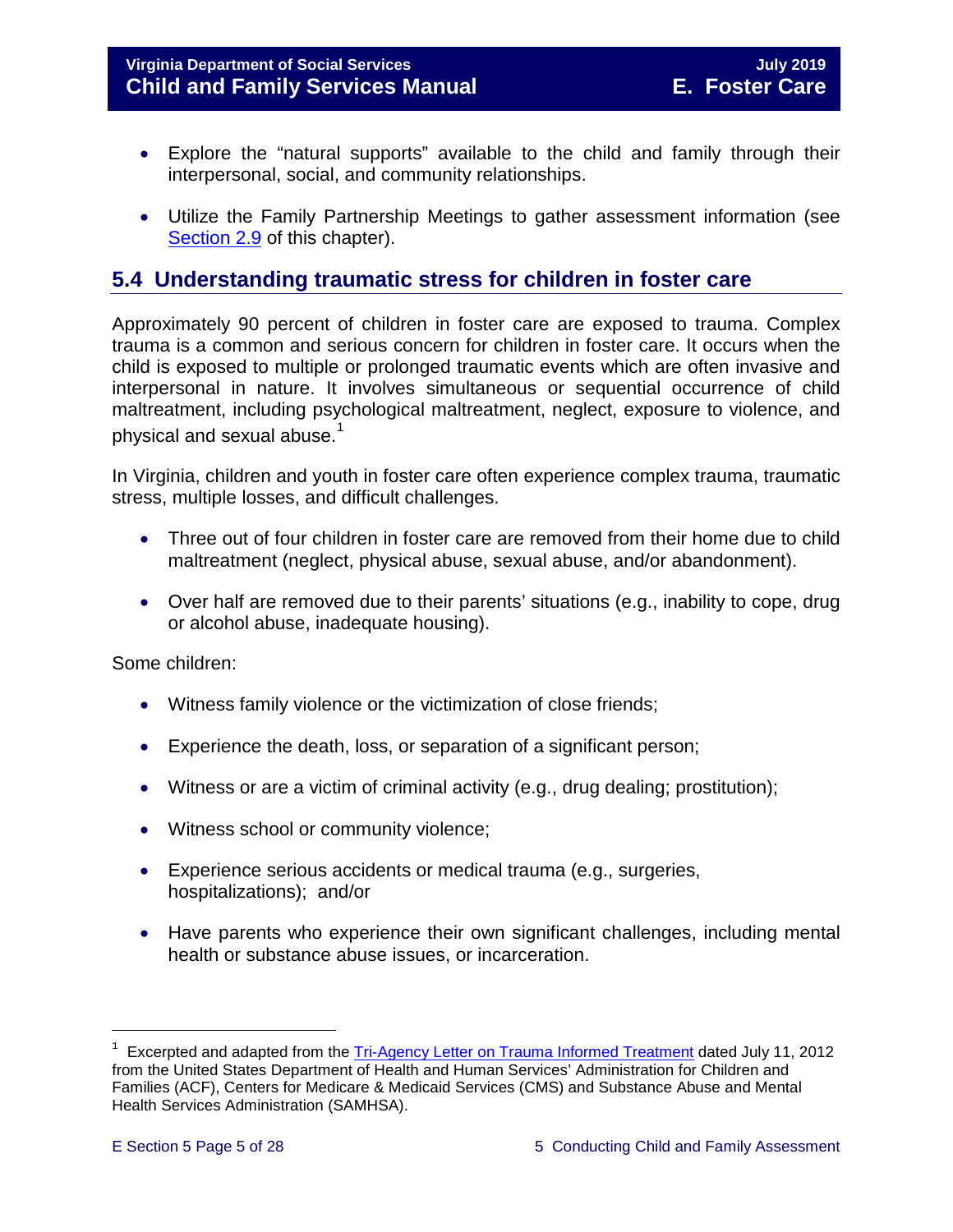#### **Virginia Department of Social Services July 2019 Child and Family Services Manual E. Foster Care**

- Explore the "natural supports" available to the child and family through their interpersonal, social, and community relationships.
- Utilize the Family Partnership Meetings to gather assessment information (see [Section 2.9](https://fusion.dss.virginia.gov/Portals/%5bdfs%5d/Files/DFS%20Manuals/Foster%20Care%20Manuals/Foster%20Care%20Manual%2007-2019/section_2_engaging_the_child_family_and_significant_adults.pdf#page=19) of this chapter).

# <span id="page-4-0"></span>**5.4 Understanding traumatic stress for children in foster care**

Approximately 90 percent of children in foster care are exposed to trauma. Complex trauma is a common and serious concern for children in foster care. It occurs when the child is exposed to multiple or prolonged traumatic events which are often invasive and interpersonal in nature. It involves simultaneous or sequential occurrence of child maltreatment, including psychological maltreatment, neglect, exposure to violence, and physical and sexual abuse. $^{\mathrm{1}}$  $^{\mathrm{1}}$  $^{\mathrm{1}}$ 

In Virginia, children and youth in foster care often experience complex trauma, traumatic stress, multiple losses, and difficult challenges.

- Three out of four children in foster care are removed from their home due to child maltreatment (neglect, physical abuse, sexual abuse, and/or abandonment).
- Over half are removed due to their parents' situations (e.g., inability to cope, drug or alcohol abuse, inadequate housing).

Some children:

- Witness family violence or the victimization of close friends;
- Experience the death, loss, or separation of a significant person;
- Witness or are a victim of criminal activity (e.g., drug dealing; prostitution);
- Witness school or community violence;
- Experience serious accidents or medical trauma (e.g., surgeries, hospitalizations); and/or
- Have parents who experience their own significant challenges, including mental health or substance abuse issues, or incarceration.

Ĩ.

<span id="page-4-1"></span> $1$  Excerpted and adapted from the [Tri-Agency Letter on Trauma Informed Treatment](http://www.medicaid.gov/Federal-Policy-Guidance/Downloads/SMD-13-07-11.pdf) dated July 11, 2012 from the United States Department of Health and Human Services' Administration for Children and Families (ACF), Centers for Medicare & Medicaid Services (CMS) and Substance Abuse and Mental Health Services Administration (SAMHSA).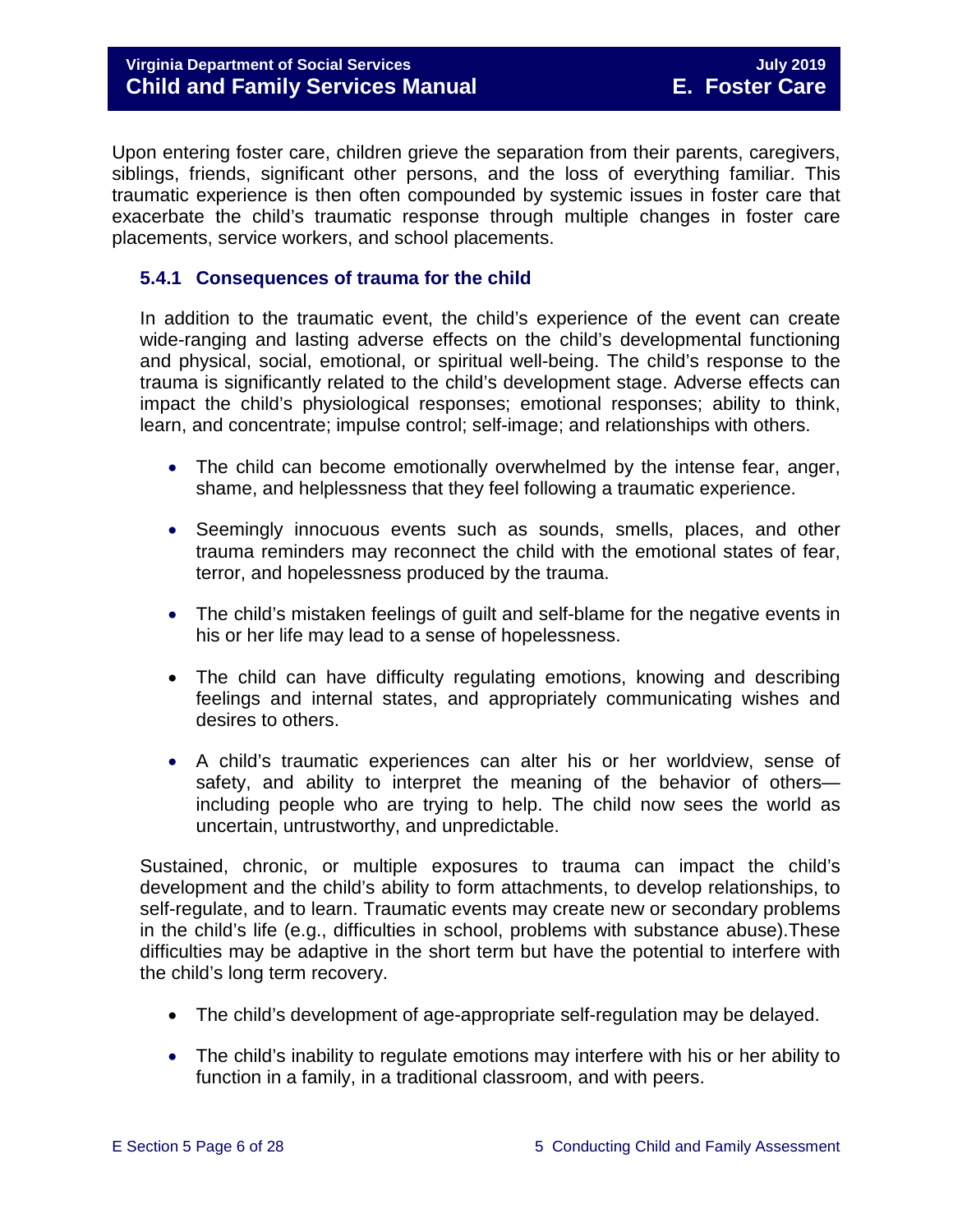Upon entering foster care, children grieve the separation from their parents, caregivers, siblings, friends, significant other persons, and the loss of everything familiar. This traumatic experience is then often compounded by systemic issues in foster care that exacerbate the child's traumatic response through multiple changes in foster care placements, service workers, and school placements.

#### <span id="page-5-0"></span>**5.4.1 Consequences of trauma for the child**

In addition to the traumatic event, the child's experience of the event can create wide-ranging and lasting adverse effects on the child's developmental functioning and physical, social, emotional, or spiritual well-being. The child's response to the trauma is significantly related to the child's development stage. Adverse effects can impact the child's physiological responses; emotional responses; ability to think, learn, and concentrate; impulse control; self-image; and relationships with others.

- The child can become emotionally overwhelmed by the intense fear, anger, shame, and helplessness that they feel following a traumatic experience.
- Seemingly innocuous events such as sounds, smells, places, and other trauma reminders may reconnect the child with the emotional states of fear, terror, and hopelessness produced by the trauma.
- The child's mistaken feelings of guilt and self-blame for the negative events in his or her life may lead to a sense of hopelessness.
- The child can have difficulty regulating emotions, knowing and describing feelings and internal states, and appropriately communicating wishes and desires to others.
- A child's traumatic experiences can alter his or her worldview, sense of safety, and ability to interpret the meaning of the behavior of others including people who are trying to help. The child now sees the world as uncertain, untrustworthy, and unpredictable.

Sustained, chronic, or multiple exposures to trauma can impact the child's development and the child's ability to form attachments, to develop relationships, to self-regulate, and to learn. Traumatic events may create new or secondary problems in the child's life (e.g., difficulties in school, problems with substance abuse).These difficulties may be adaptive in the short term but have the potential to interfere with the child's long term recovery.

- The child's development of age-appropriate self-regulation may be delayed.
- The child's inability to regulate emotions may interfere with his or her ability to function in a family, in a traditional classroom, and with peers.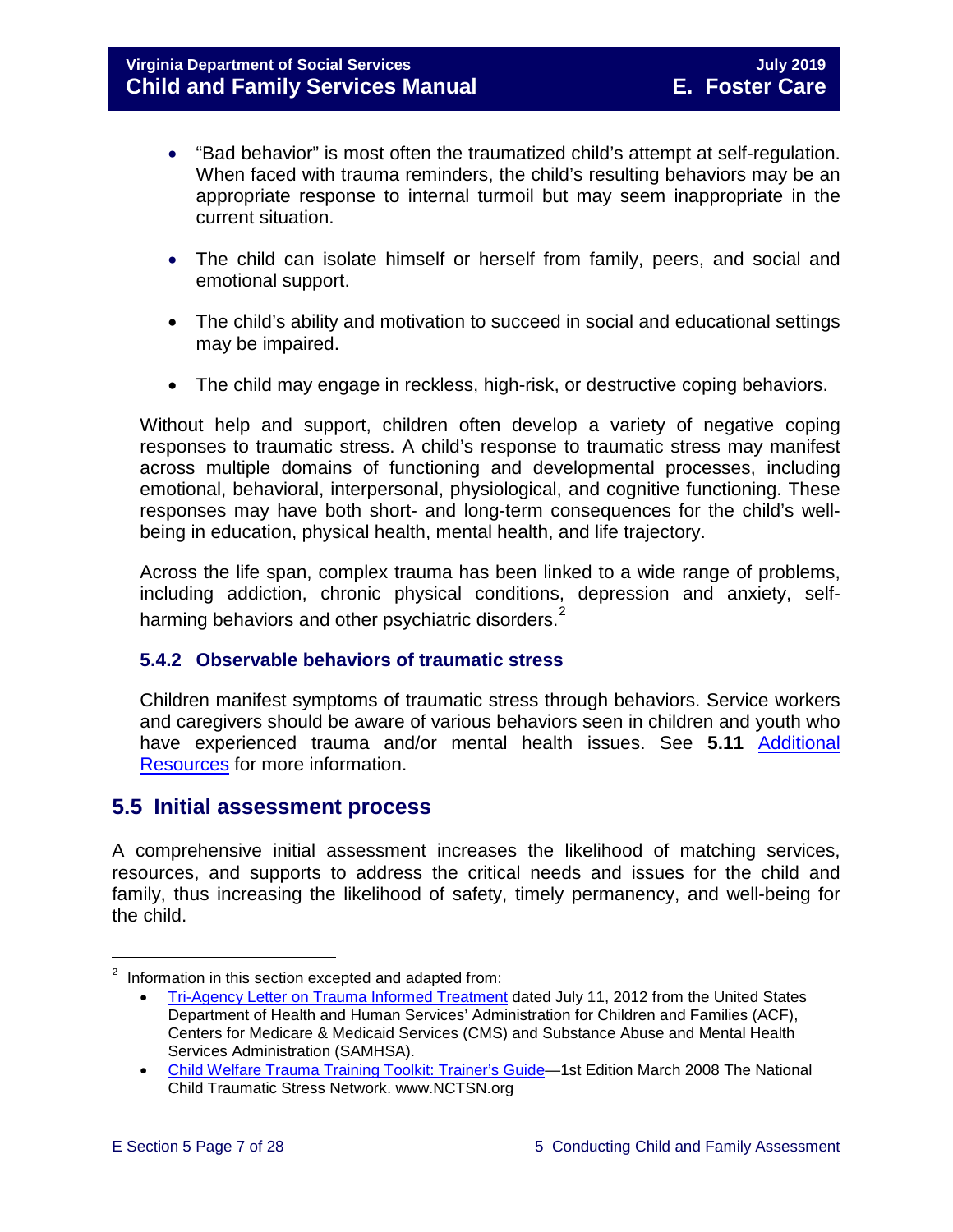- "Bad behavior" is most often the traumatized child's attempt at self-regulation. When faced with trauma reminders, the child's resulting behaviors may be an appropriate response to internal turmoil but may seem inappropriate in the current situation.
- The child can isolate himself or herself from family, peers, and social and emotional support.
- The child's ability and motivation to succeed in social and educational settings may be impaired.
- The child may engage in reckless, high-risk, or destructive coping behaviors.

Without help and support, children often develop a variety of negative coping responses to traumatic stress. A child's response to traumatic stress may manifest across multiple domains of functioning and developmental processes, including emotional, behavioral, interpersonal, physiological, and cognitive functioning. These responses may have both short- and long-term consequences for the child's wellbeing in education, physical health, mental health, and life trajectory.

Across the life span, complex trauma has been linked to a wide range of problems, including addiction, chronic physical conditions, depression and anxiety, selfharming behaviors and other psychiatric disorders. $^{\text{2}}$  $^{\text{2}}$  $^{\text{2}}$ 

#### <span id="page-6-0"></span>**5.4.2 Observable behaviors of traumatic stress**

Children manifest symptoms of traumatic stress through behaviors. Service workers and caregivers should be aware of various behaviors seen in children and youth who have experienced trauma and/or mental health issues. See **5.11** [Additional](#page-22-1)  [Resources](#page-22-1) for more information.

# <span id="page-6-1"></span>**5.5 Initial assessment process**

A comprehensive initial assessment increases the likelihood of matching services, resources, and supports to address the critical needs and issues for the child and family, thus increasing the likelihood of safety, timely permanency, and well-being for the child.

Ĩ.

<span id="page-6-2"></span> $2$  Information in this section excepted and adapted from:

<sup>•</sup> [Tri-Agency Letter on Trauma Informed Treatment](http://www.medicaid.gov/Federal-Policy-Guidance/Downloads/SMD-13-07-11.pdf) dated July 11, 2012 from the United States Department of Health and Human Services' Administration for Children and Families (ACF), Centers for Medicare & Medicaid Services (CMS) and Substance Abuse and Mental Health Services Administration (SAMHSA).

<sup>•</sup> [Child Welfare Trauma Training Toolkit: Trainer's Guide—](http://www.nctsn.org/nctsn_assets/pdfs/CWT3_TrainersGuide.pdf)1st Edition March 2008 The National Child Traumatic Stress Network. www.NCTSN.org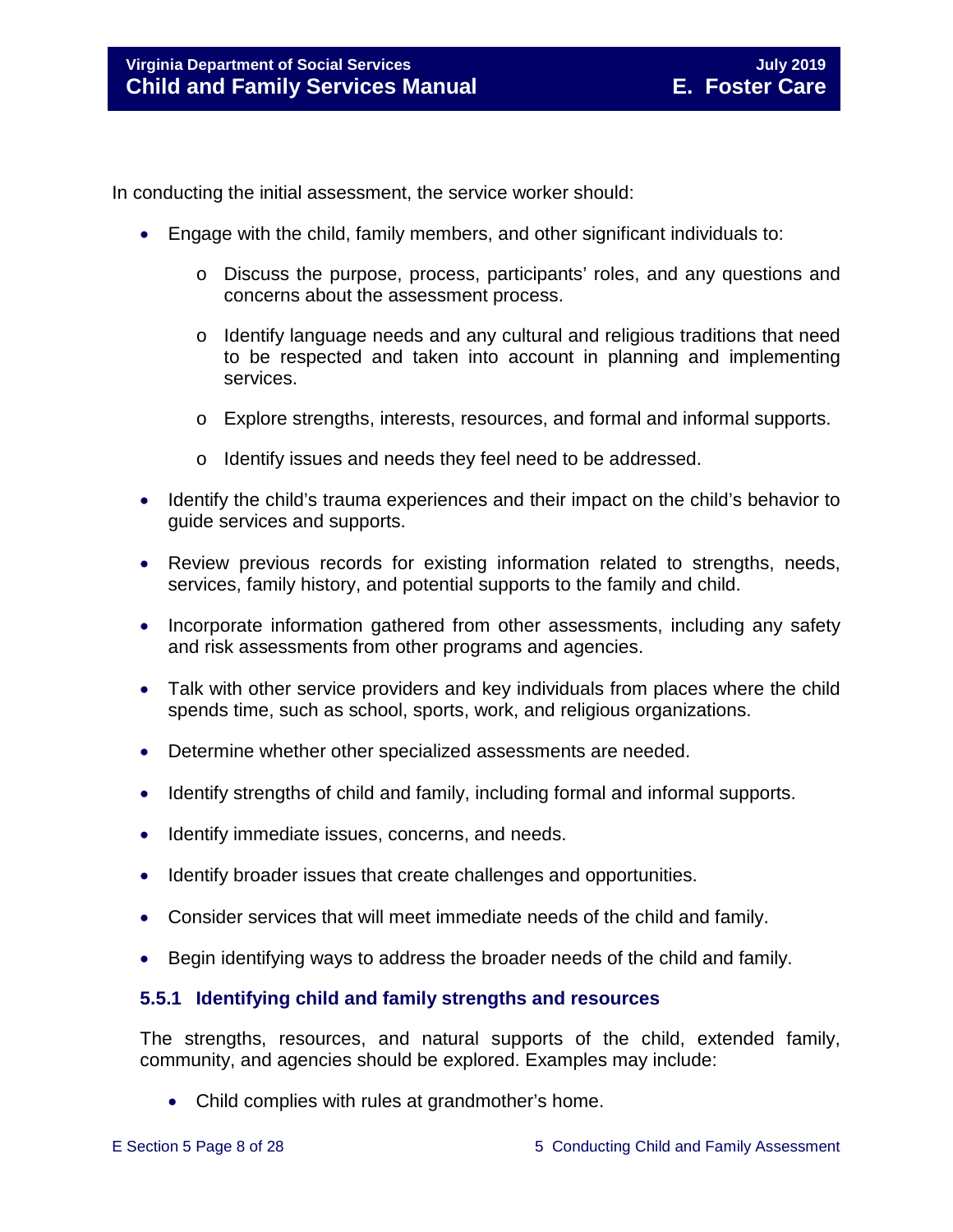In conducting the initial assessment, the service worker should:

- Engage with the child, family members, and other significant individuals to:
	- o Discuss the purpose, process, participants' roles, and any questions and concerns about the assessment process.
	- o Identify language needs and any cultural and religious traditions that need to be respected and taken into account in planning and implementing services.
	- o Explore strengths, interests, resources, and formal and informal supports.
	- o Identify issues and needs they feel need to be addressed.
- Identify the child's trauma experiences and their impact on the child's behavior to guide services and supports.
- Review previous records for existing information related to strengths, needs, services, family history, and potential supports to the family and child.
- Incorporate information gathered from other assessments, including any safety and risk assessments from other programs and agencies.
- Talk with other service providers and key individuals from places where the child spends time, such as school, sports, work, and religious organizations.
- Determine whether other specialized assessments are needed.
- Identify strengths of child and family, including formal and informal supports.
- Identify immediate issues, concerns, and needs.
- Identify broader issues that create challenges and opportunities.
- Consider services that will meet immediate needs of the child and family.
- Begin identifying ways to address the broader needs of the child and family.

#### <span id="page-7-0"></span>**5.5.1 Identifying child and family strengths and resources**

The strengths, resources, and natural supports of the child, extended family, community, and agencies should be explored. Examples may include:

• Child complies with rules at grandmother's home.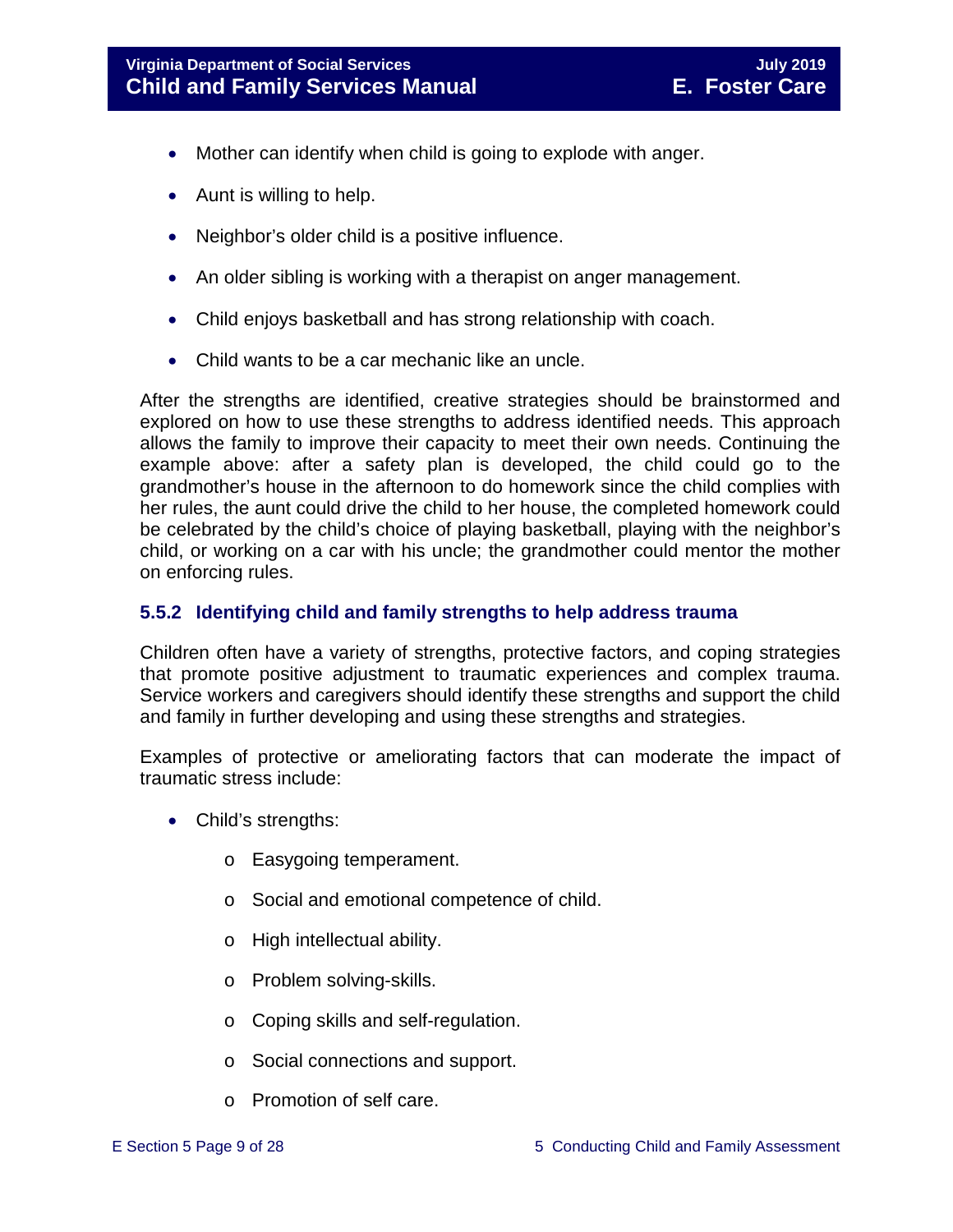- Mother can identify when child is going to explode with anger.
- Aunt is willing to help.
- Neighbor's older child is a positive influence.
- An older sibling is working with a therapist on anger management.
- Child enjoys basketball and has strong relationship with coach.
- Child wants to be a car mechanic like an uncle.

After the strengths are identified, creative strategies should be brainstormed and explored on how to use these strengths to address identified needs. This approach allows the family to improve their capacity to meet their own needs. Continuing the example above: after a safety plan is developed, the child could go to the grandmother's house in the afternoon to do homework since the child complies with her rules, the aunt could drive the child to her house, the completed homework could be celebrated by the child's choice of playing basketball, playing with the neighbor's child, or working on a car with his uncle; the grandmother could mentor the mother on enforcing rules.

#### <span id="page-8-0"></span>**5.5.2 Identifying child and family strengths to help address trauma**

Children often have a variety of strengths, protective factors, and coping strategies that promote positive adjustment to traumatic experiences and complex trauma. Service workers and caregivers should identify these strengths and support the child and family in further developing and using these strengths and strategies.

Examples of protective or ameliorating factors that can moderate the impact of traumatic stress include:

- Child's strengths:
	- o Easygoing temperament.
	- o Social and emotional competence of child.
	- o High intellectual ability.
	- o Problem solving-skills.
	- o Coping skills and self-regulation.
	- o Social connections and support.
	- o Promotion of self care.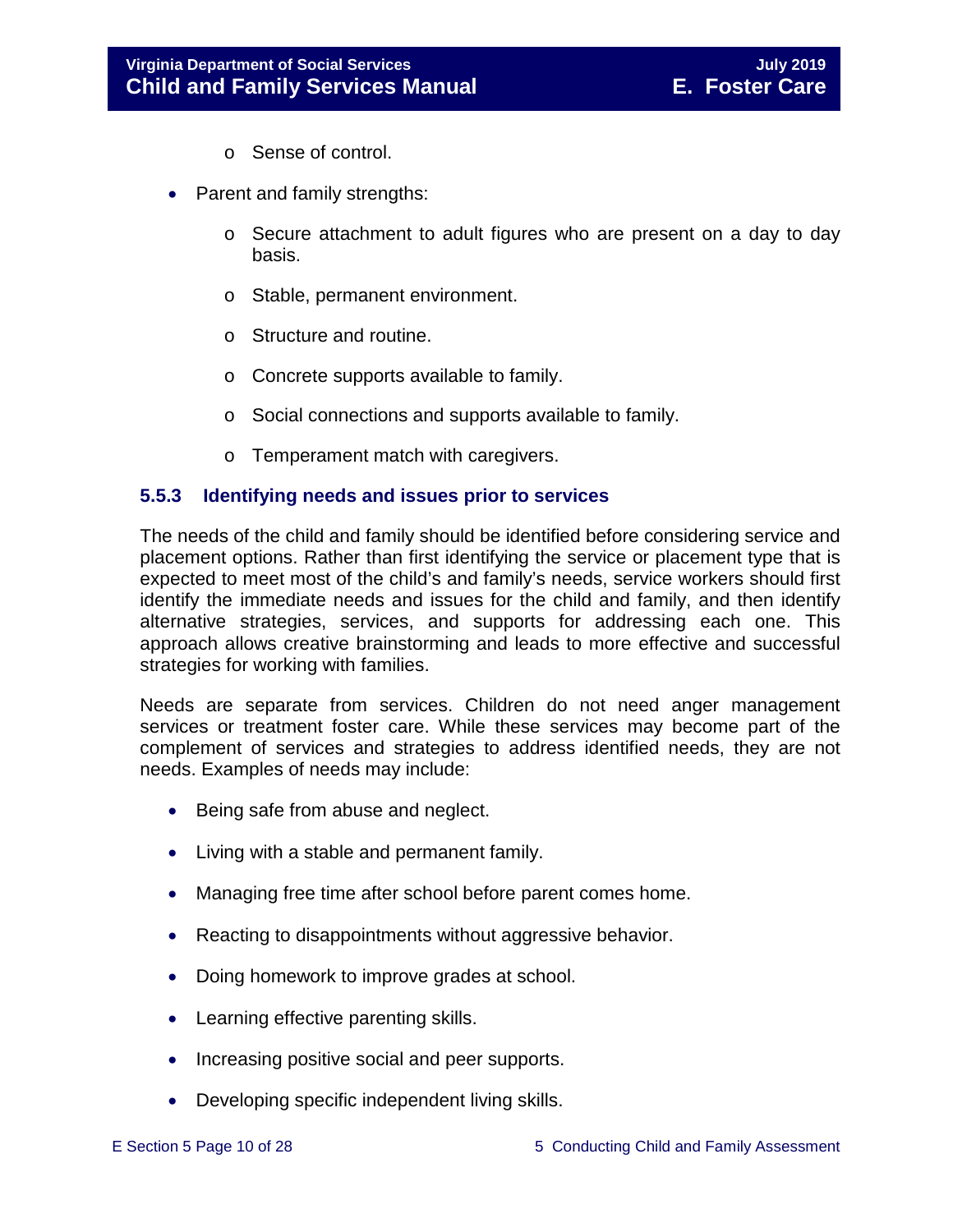- o Sense of control.
- Parent and family strengths:
	- $\circ$  Secure attachment to adult figures who are present on a day to day basis.
	- o Stable, permanent environment.
	- o Structure and routine.
	- o Concrete supports available to family.
	- o Social connections and supports available to family.
	- o Temperament match with caregivers.

#### <span id="page-9-0"></span>**5.5.3 Identifying needs and issues prior to services**

The needs of the child and family should be identified before considering service and placement options. Rather than first identifying the service or placement type that is expected to meet most of the child's and family's needs, service workers should first identify the immediate needs and issues for the child and family, and then identify alternative strategies, services, and supports for addressing each one. This approach allows creative brainstorming and leads to more effective and successful strategies for working with families.

Needs are separate from services. Children do not need anger management services or treatment foster care. While these services may become part of the complement of services and strategies to address identified needs, they are not needs. Examples of needs may include:

- Being safe from abuse and neglect.
- Living with a stable and permanent family.
- Managing free time after school before parent comes home.
- Reacting to disappointments without aggressive behavior.
- Doing homework to improve grades at school.
- Learning effective parenting skills.
- Increasing positive social and peer supports.
- Developing specific independent living skills.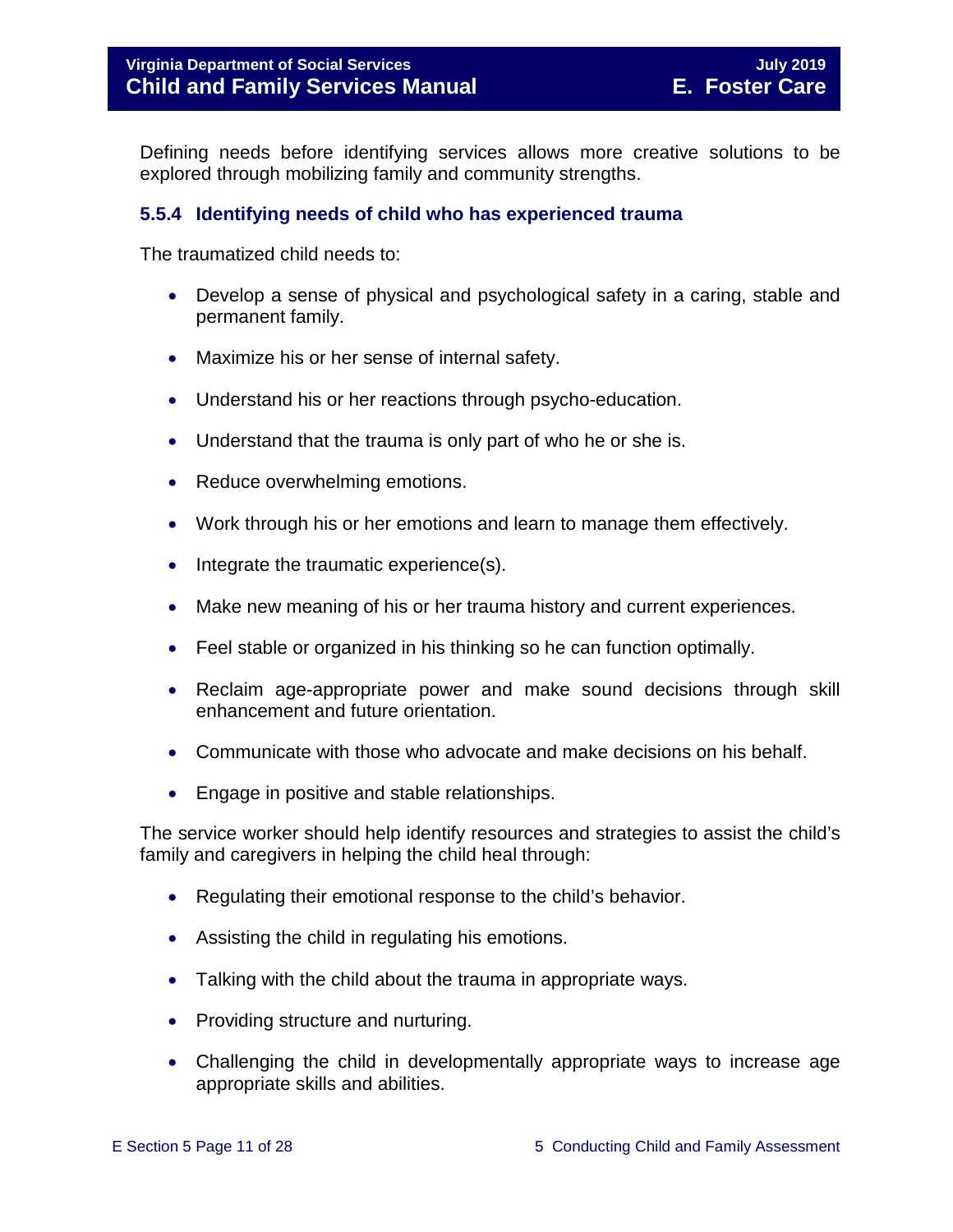Defining needs before identifying services allows more creative solutions to be explored through mobilizing family and community strengths.

#### <span id="page-10-0"></span>**5.5.4 Identifying needs of child who has experienced trauma**

The traumatized child needs to:

- Develop a sense of physical and psychological safety in a caring, stable and permanent family.
- Maximize his or her sense of internal safety.
- Understand his or her reactions through psycho-education.
- Understand that the trauma is only part of who he or she is.
- Reduce overwhelming emotions.
- Work through his or her emotions and learn to manage them effectively.
- Integrate the traumatic experience(s).
- Make new meaning of his or her trauma history and current experiences.
- Feel stable or organized in his thinking so he can function optimally.
- Reclaim age-appropriate power and make sound decisions through skill enhancement and future orientation.
- Communicate with those who advocate and make decisions on his behalf.
- Engage in positive and stable relationships.

The service worker should help identify resources and strategies to assist the child's family and caregivers in helping the child heal through:

- Regulating their emotional response to the child's behavior.
- Assisting the child in regulating his emotions.
- Talking with the child about the trauma in appropriate ways.
- Providing structure and nurturing.
- Challenging the child in developmentally appropriate ways to increase age appropriate skills and abilities.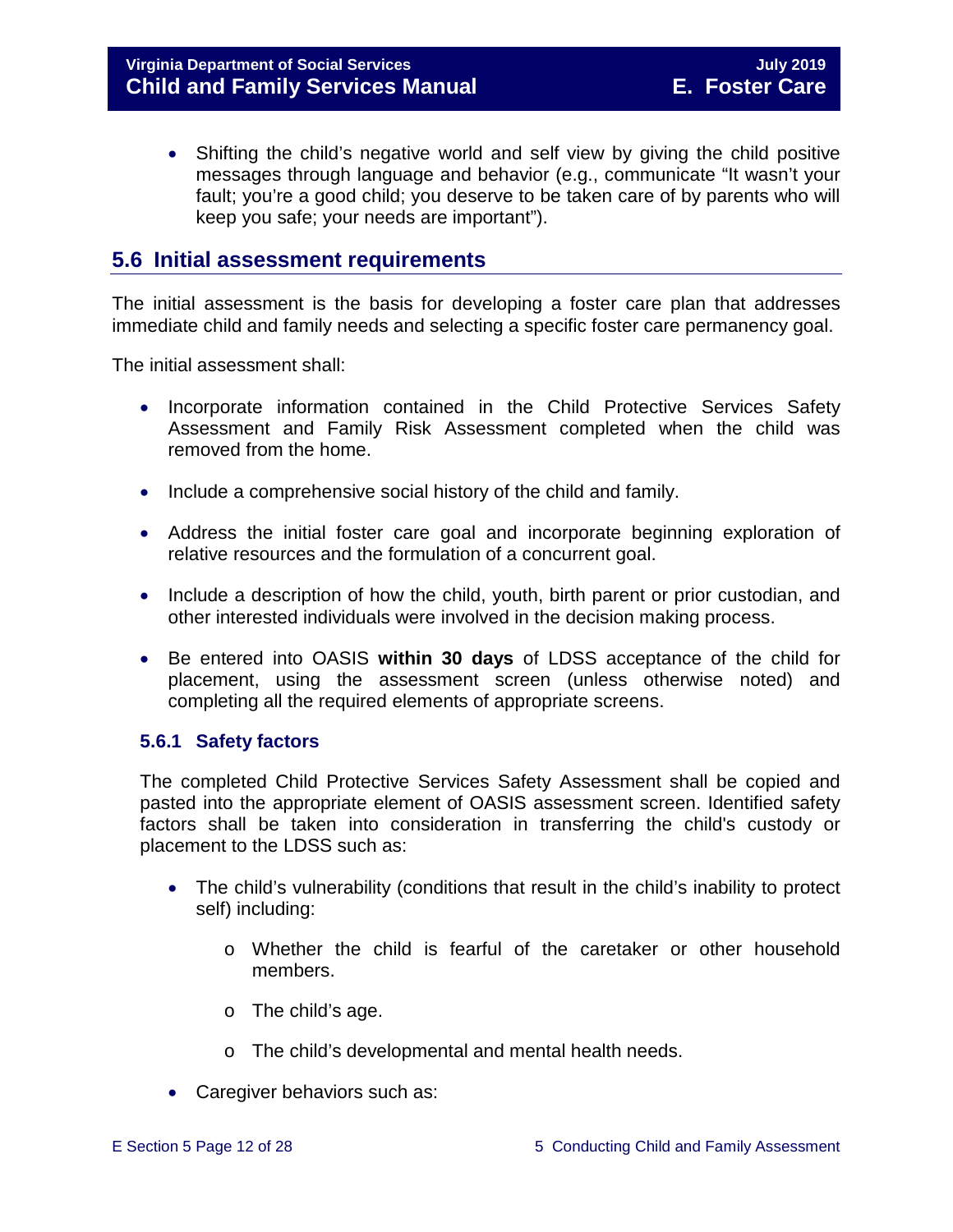• Shifting the child's negative world and self view by giving the child positive messages through language and behavior (e.g., communicate "It wasn't your fault; you're a good child; you deserve to be taken care of by parents who will keep you safe; your needs are important").

# <span id="page-11-0"></span>**5.6 Initial assessment requirements**

The initial assessment is the basis for developing a foster care plan that addresses immediate child and family needs and selecting a specific foster care permanency goal.

The initial assessment shall:

- Incorporate information contained in the Child Protective Services Safety Assessment and Family Risk Assessment completed when the child was removed from the home.
- Include a comprehensive social history of the child and family.
- Address the initial foster care goal and incorporate beginning exploration of relative resources and the formulation of a concurrent goal.
- Include a description of how the child, youth, birth parent or prior custodian, and other interested individuals were involved in the decision making process.
- Be entered into OASIS **within 30 days** of LDSS acceptance of the child for placement, using the assessment screen (unless otherwise noted) and completing all the required elements of appropriate screens.

#### <span id="page-11-1"></span>**5.6.1 Safety factors**

The completed Child Protective Services Safety Assessment shall be copied and pasted into the appropriate element of OASIS assessment screen. Identified safety factors shall be taken into consideration in transferring the child's custody or placement to the LDSS such as:

- The child's vulnerability (conditions that result in the child's inability to protect self) including:
	- o Whether the child is fearful of the caretaker or other household members.
	- o The child's age.
	- o The child's developmental and mental health needs.
- Caregiver behaviors such as: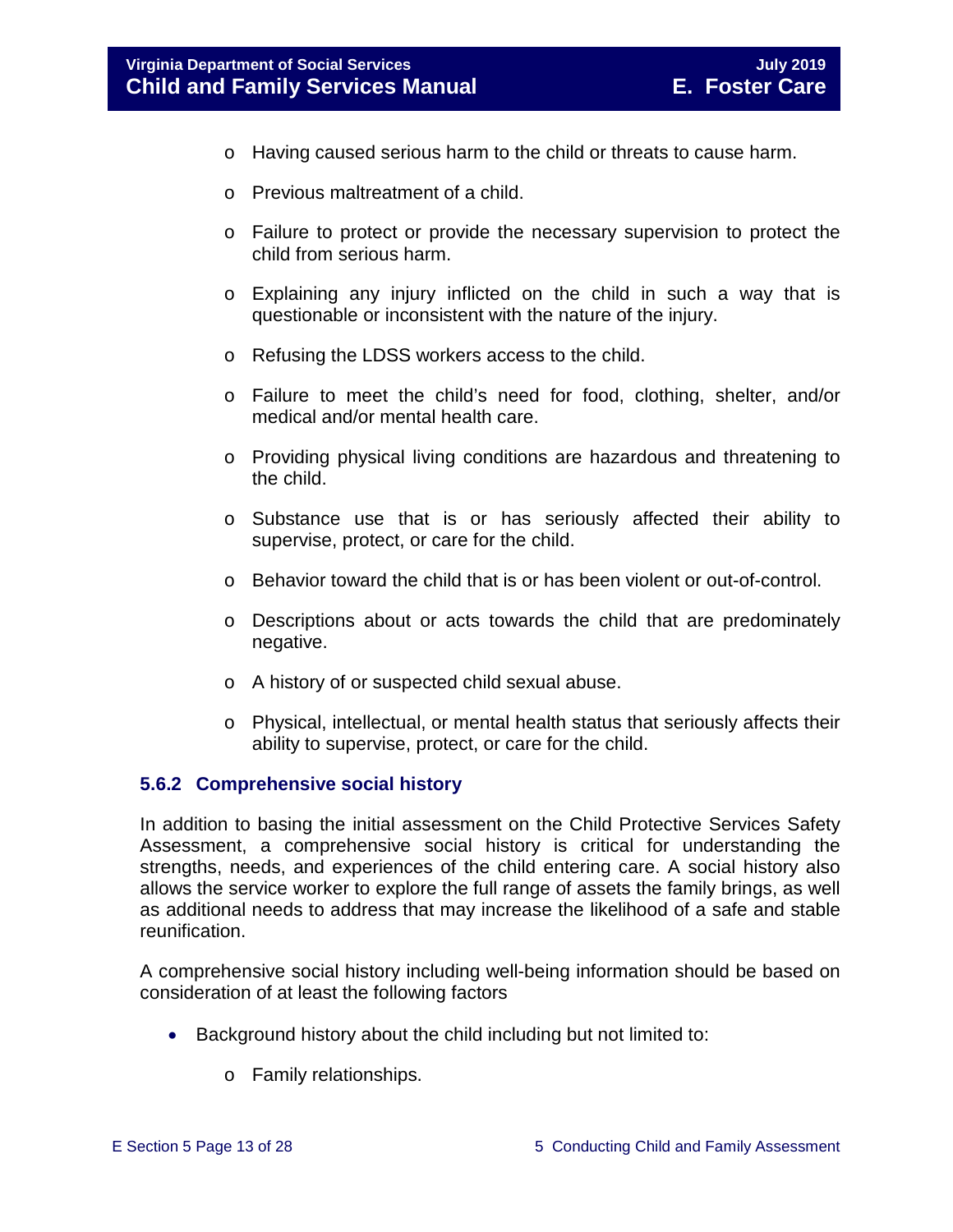- o Having caused serious harm to the child or threats to cause harm.
- o Previous maltreatment of a child.
- o Failure to protect or provide the necessary supervision to protect the child from serious harm.
- o Explaining any injury inflicted on the child in such a way that is questionable or inconsistent with the nature of the injury.
- o Refusing the LDSS workers access to the child.
- o Failure to meet the child's need for food, clothing, shelter, and/or medical and/or mental health care.
- o Providing physical living conditions are hazardous and threatening to the child.
- o Substance use that is or has seriously affected their ability to supervise, protect, or care for the child.
- o Behavior toward the child that is or has been violent or out-of-control.
- $\circ$  Descriptions about or acts towards the child that are predominately negative.
- o A history of or suspected child sexual abuse.
- o Physical, intellectual, or mental health status that seriously affects their ability to supervise, protect, or care for the child.

#### <span id="page-12-0"></span>**5.6.2 Comprehensive social history**

In addition to basing the initial assessment on the Child Protective Services Safety Assessment, a comprehensive social history is critical for understanding the strengths, needs, and experiences of the child entering care. A social history also allows the service worker to explore the full range of assets the family brings, as well as additional needs to address that may increase the likelihood of a safe and stable reunification.

A comprehensive social history including well-being information should be based on consideration of at least the following factors

- Background history about the child including but not limited to:
	- o Family relationships.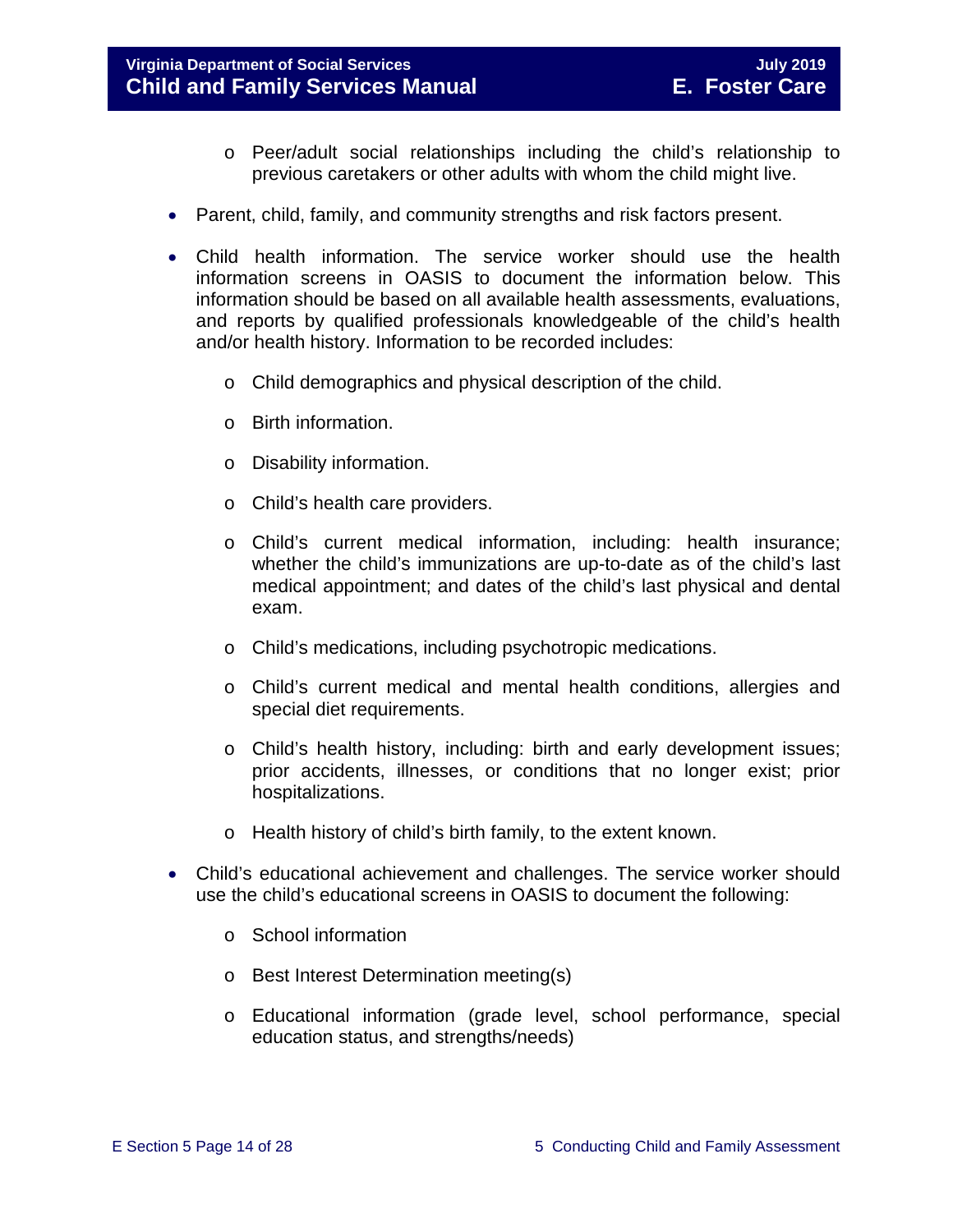#### **Virginia Department of Social Services July 2019 Child and Family Services Manual**

- o Peer/adult social relationships including the child's relationship to previous caretakers or other adults with whom the child might live.
- Parent, child, family, and community strengths and risk factors present.
- Child health information. The service worker should use the health information screens in OASIS to document the information below. This information should be based on all available health assessments, evaluations, and reports by qualified professionals knowledgeable of the child's health and/or health history. Information to be recorded includes:
	- o Child demographics and physical description of the child.
	- o Birth information.
	- o Disability information.
	- o Child's health care providers.
	- o Child's current medical information, including: health insurance; whether the child's immunizations are up-to-date as of the child's last medical appointment; and dates of the child's last physical and dental exam.
	- o Child's medications, including psychotropic medications.
	- o Child's current medical and mental health conditions, allergies and special diet requirements.
	- o Child's health history, including: birth and early development issues; prior accidents, illnesses, or conditions that no longer exist; prior hospitalizations.
	- o Health history of child's birth family, to the extent known.
- Child's educational achievement and challenges. The service worker should use the child's educational screens in OASIS to document the following:
	- o School information
	- o Best Interest Determination meeting(s)
	- o Educational information (grade level, school performance, special education status, and strengths/needs)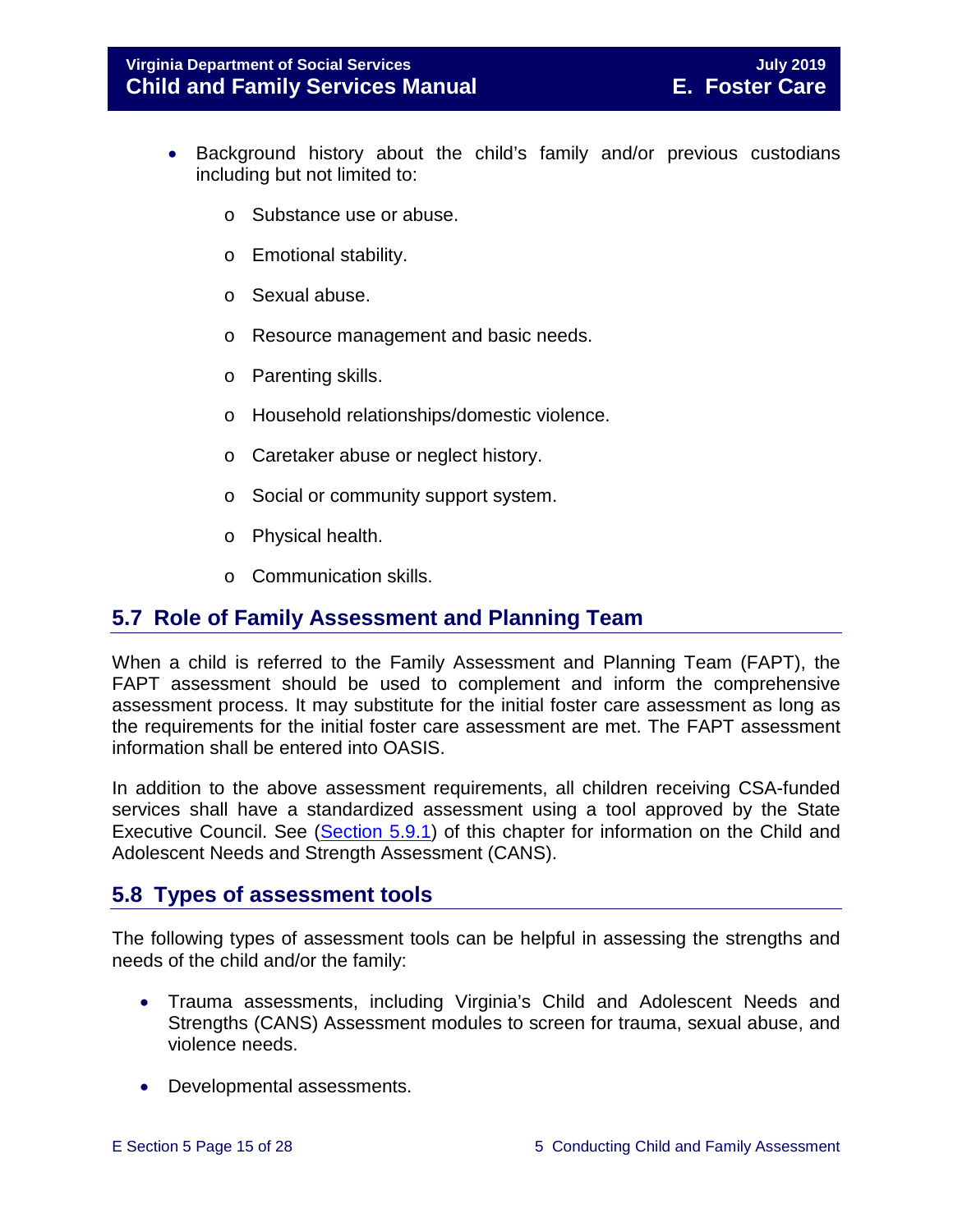- Background history about the child's family and/or previous custodians including but not limited to:
	- o Substance use or abuse.
	- o Emotional stability.
	- o Sexual abuse.
	- o Resource management and basic needs.
	- o Parenting skills.
	- o Household relationships/domestic violence.
	- o Caretaker abuse or neglect history.
	- o Social or community support system.
	- o Physical health.
	- o Communication skills.

# <span id="page-14-0"></span>**5.7 Role of Family Assessment and Planning Team**

When a child is referred to the Family Assessment and Planning Team (FAPT), the FAPT assessment should be used to complement and inform the comprehensive assessment process. It may substitute for the initial foster care assessment as long as the requirements for the initial foster care assessment are met. The FAPT assessment information shall be entered into OASIS.

In addition to the above assessment requirements, all children receiving CSA-funded services shall have a standardized assessment using a tool approved by the State Executive Council. See [\(Section](https://fusion.dss.virginia.gov/Portals/%5bdfs%5d/Files/DFS%20Manuals/Foster%20Care%20Manuals/Foster%20Care%20Manual%2007-2019/section_5_conducting_child_and_family_assessment.pdf#page=18) 5.9.1) of this chapter for information on the Child and Adolescent Needs and Strength Assessment (CANS).

# <span id="page-14-1"></span>**5.8 Types of assessment tools**

The following types of assessment tools can be helpful in assessing the strengths and needs of the child and/or the family:

- Trauma assessments, including Virginia's Child and Adolescent Needs and Strengths (CANS) Assessment modules to screen for trauma, sexual abuse, and violence needs.
- Developmental assessments.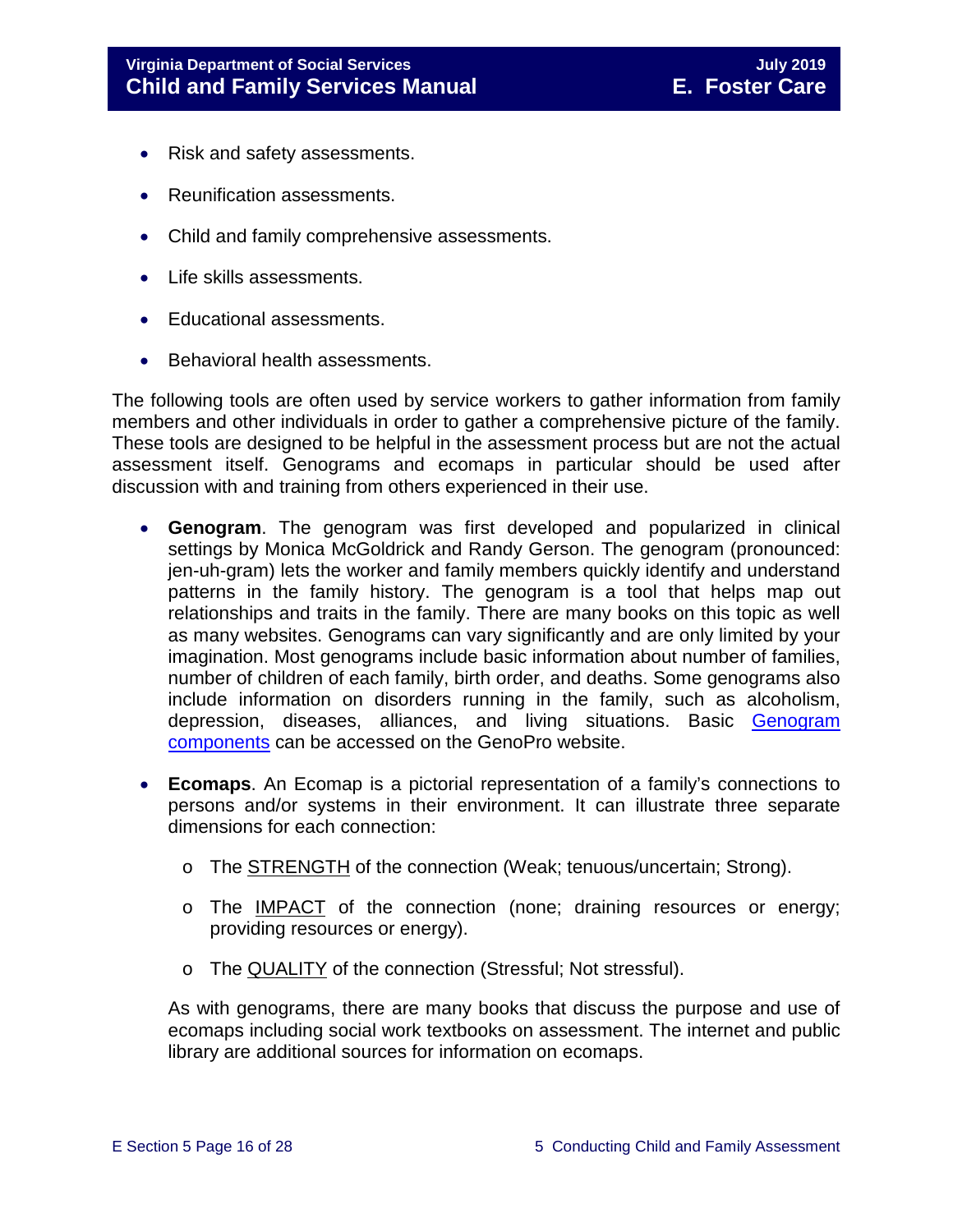- Risk and safety assessments.
- Reunification assessments.
- Child and family comprehensive assessments.
- Life skills assessments.
- Educational assessments.
- Behavioral health assessments.

The following tools are often used by service workers to gather information from family members and other individuals in order to gather a comprehensive picture of the family. These tools are designed to be helpful in the assessment process but are not the actual assessment itself. Genograms and ecomaps in particular should be used after discussion with and training from others experienced in their use.

- **Genogram**. The genogram was first developed and popularized in clinical settings by Monica McGoldrick and Randy Gerson. The genogram (pronounced: jen-uh-gram) lets the worker and family members quickly identify and understand patterns in the family history. The genogram is a tool that helps map out relationships and traits in the family. There are many books on this topic as well as many websites. Genograms can vary significantly and are only limited by your imagination. Most genograms include basic information about number of families, number of children of each family, birth order, and deaths. Some genograms also include information on disorders running in the family, such as alcoholism, depression, diseases, alliances, and living situations. Basic [Genogram](http://www.genopro.com/genogram_components/default.htm)  [components](http://www.genopro.com/genogram_components/default.htm) can be accessed on the GenoPro website.
- **Ecomaps**. An Ecomap is a pictorial representation of a family's connections to persons and/or systems in their environment. It can illustrate three separate dimensions for each connection:
	- o The STRENGTH of the connection (Weak; tenuous/uncertain; Strong).
	- o The IMPACT of the connection (none; draining resources or energy; providing resources or energy).
	- o The QUALITY of the connection (Stressful; Not stressful).

As with genograms, there are many books that discuss the purpose and use of ecomaps including social work textbooks on assessment. The internet and public library are additional sources for information on ecomaps.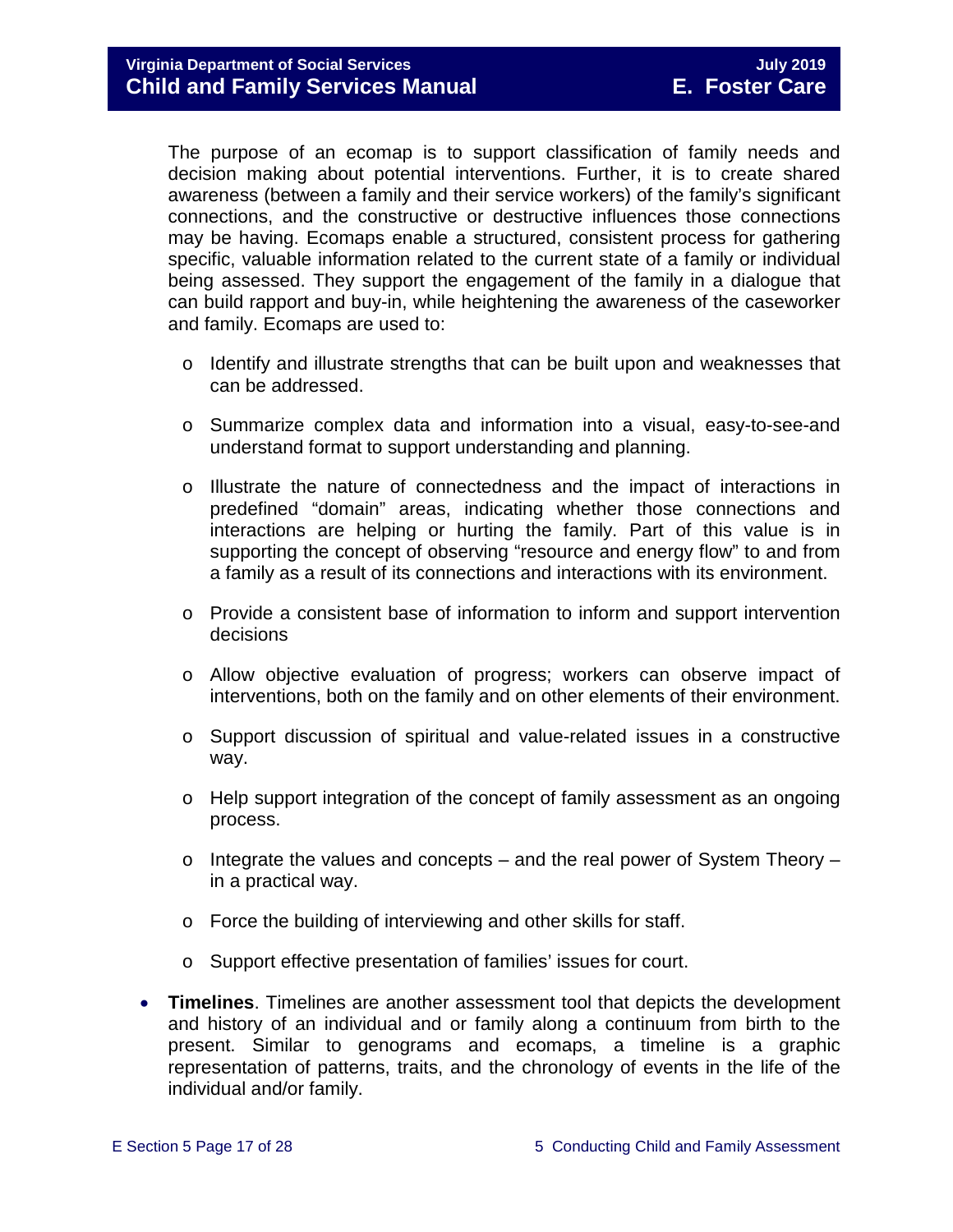The purpose of an ecomap is to support classification of family needs and decision making about potential interventions. Further, it is to create shared awareness (between a family and their service workers) of the family's significant connections, and the constructive or destructive influences those connections may be having. Ecomaps enable a structured, consistent process for gathering specific, valuable information related to the current state of a family or individual being assessed. They support the engagement of the family in a dialogue that can build rapport and buy-in, while heightening the awareness of the caseworker and family. Ecomaps are used to:

- $\circ$  Identify and illustrate strengths that can be built upon and weaknesses that can be addressed.
- o Summarize complex data and information into a visual, easy-to-see-and understand format to support understanding and planning.
- o Illustrate the nature of connectedness and the impact of interactions in predefined "domain" areas, indicating whether those connections and interactions are helping or hurting the family. Part of this value is in supporting the concept of observing "resource and energy flow" to and from a family as a result of its connections and interactions with its environment.
- o Provide a consistent base of information to inform and support intervention decisions
- o Allow objective evaluation of progress; workers can observe impact of interventions, both on the family and on other elements of their environment.
- o Support discussion of spiritual and value-related issues in a constructive way.
- o Help support integration of the concept of family assessment as an ongoing process.
- $\circ$  Integrate the values and concepts and the real power of System Theory in a practical way.
- o Force the building of interviewing and other skills for staff.
- o Support effective presentation of families' issues for court.
- **Timelines**. Timelines are another assessment tool that depicts the development and history of an individual and or family along a continuum from birth to the present. Similar to genograms and ecomaps, a timeline is a graphic representation of patterns, traits, and the chronology of events in the life of the individual and/or family.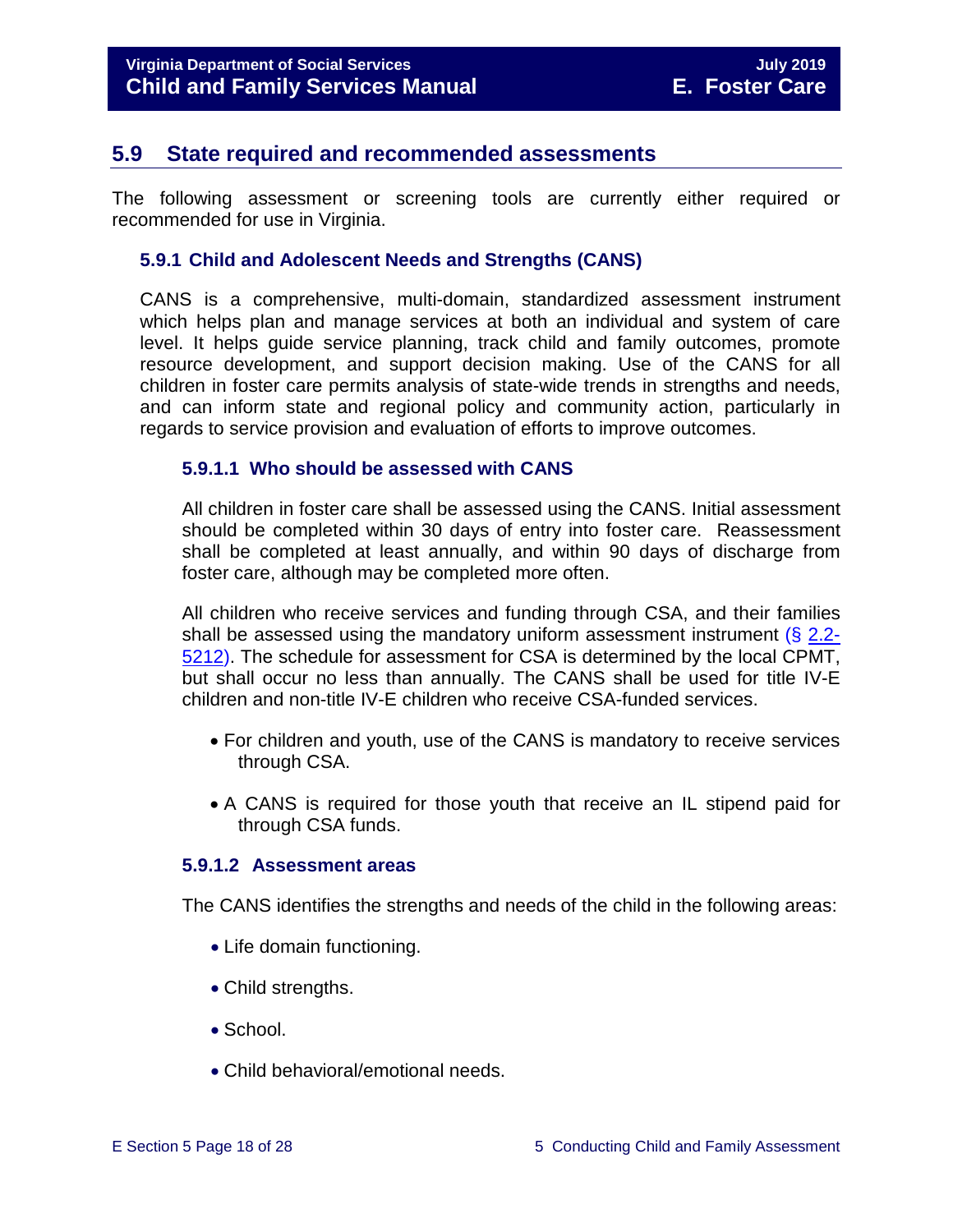# <span id="page-17-0"></span>**5.9 State required and recommended assessments**

The following assessment or screening tools are currently either required or recommended for use in Virginia.

#### <span id="page-17-1"></span>**5.9.1 Child and Adolescent Needs and Strengths (CANS)**

CANS is a comprehensive, multi-domain, standardized assessment instrument which helps plan and manage services at both an individual and system of care level. It helps guide service planning, track child and family outcomes, promote resource development, and support decision making. Use of the CANS for all children in foster care permits analysis of state-wide trends in strengths and needs, and can inform state and regional policy and community action, particularly in regards to service provision and evaluation of efforts to improve outcomes.

#### <span id="page-17-2"></span>**5.9.1.1 Who should be assessed with CANS**

All children in foster care shall be assessed using the CANS. Initial assessment should be completed within 30 days of entry into foster care. Reassessment shall be completed at least annually, and within 90 days of discharge from foster care, although may be completed more often.

All children who receive services and funding through CSA, and their families shall be assessed using the mandatory uniform assessment instrument  $(8, 2.2)$ [5212\)](http://law.lis.virginia.gov/vacode/2.2-5212/). The schedule for assessment for CSA is determined by the local CPMT, but shall occur no less than annually. The CANS shall be used for title IV-E children and non-title IV-E children who receive CSA-funded services.

- For children and youth, use of the CANS is mandatory to receive services through CSA.
- A CANS is required for those youth that receive an IL stipend paid for through CSA funds.

#### <span id="page-17-3"></span>**5.9.1.2 Assessment areas**

The CANS identifies the strengths and needs of the child in the following areas:

- Life domain functioning.
- Child strengths.
- School.
- Child behavioral/emotional needs.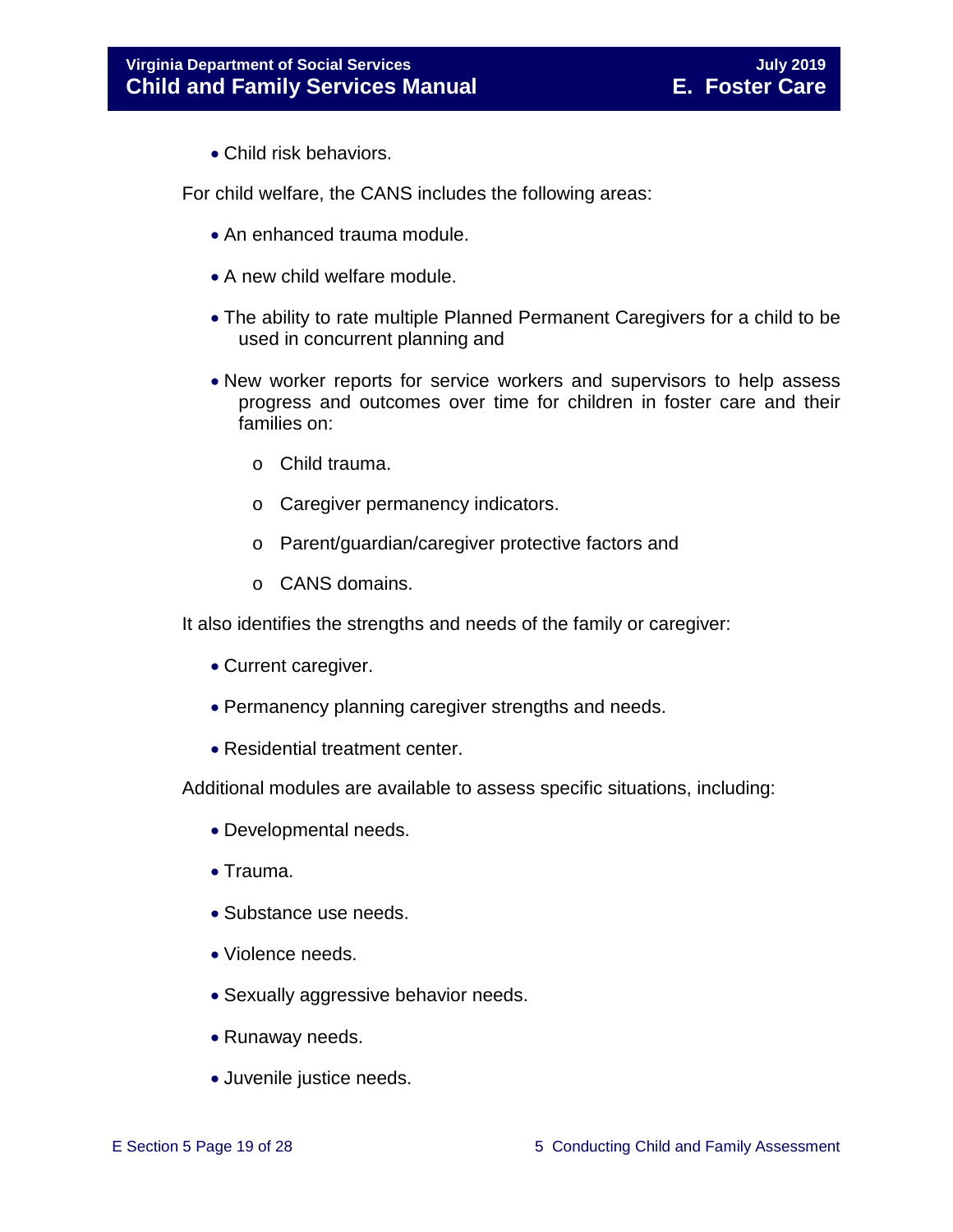• Child risk behaviors.

For child welfare, the CANS includes the following areas:

- An enhanced trauma module.
- A new child welfare module.
- The ability to rate multiple Planned Permanent Caregivers for a child to be used in concurrent planning and
- New worker reports for service workers and supervisors to help assess progress and outcomes over time for children in foster care and their families on:
	- o Child trauma.
	- o Caregiver permanency indicators.
	- o Parent/guardian/caregiver protective factors and
	- o CANS domains.

It also identifies the strengths and needs of the family or caregiver:

- Current caregiver.
- Permanency planning caregiver strengths and needs.
- Residential treatment center.

Additional modules are available to assess specific situations, including:

- Developmental needs.
- Trauma.
- Substance use needs.
- Violence needs.
- Sexually aggressive behavior needs.
- Runaway needs.
- Juvenile justice needs.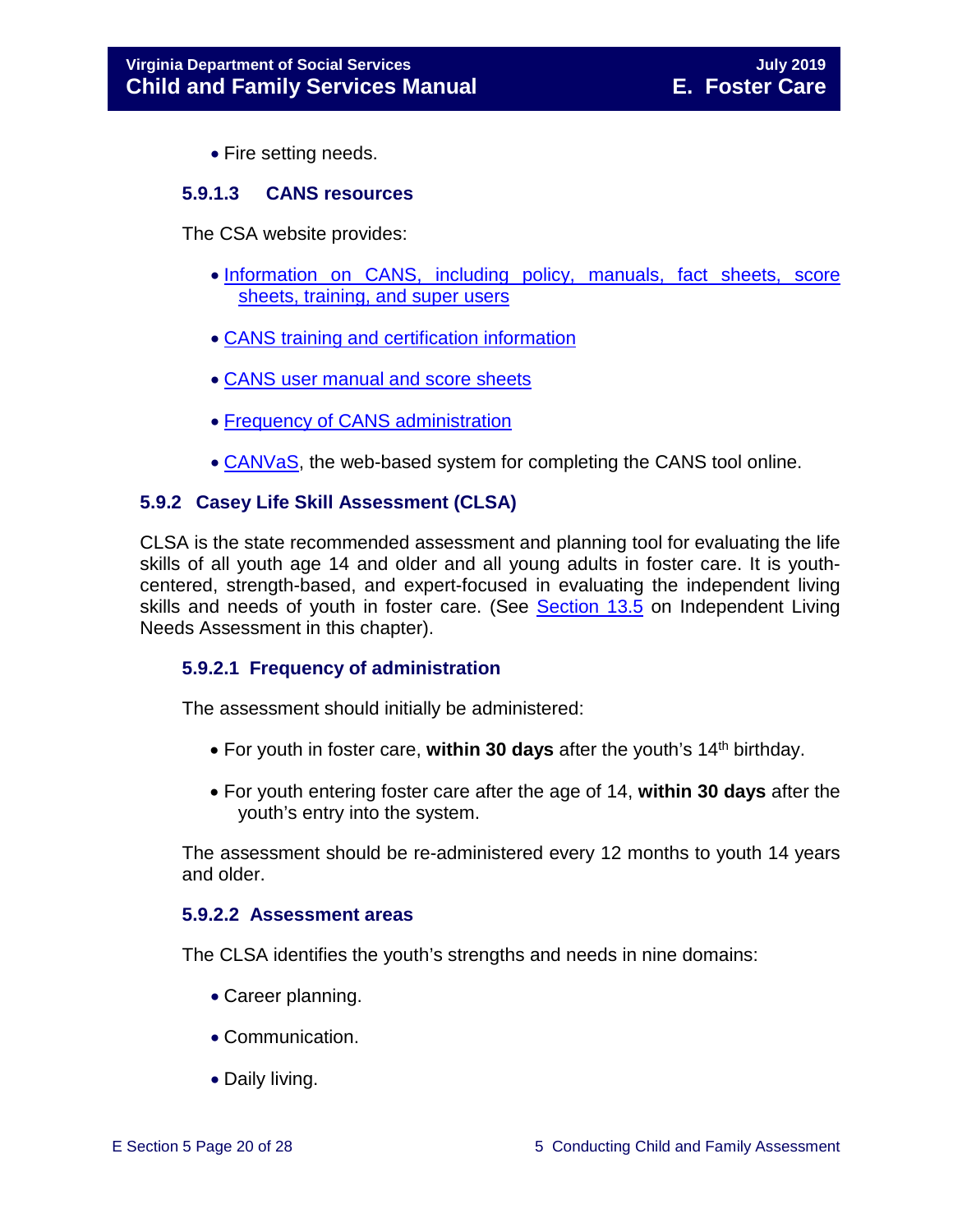• Fire setting needs.

#### <span id="page-19-0"></span>**5.9.1.3 CANS resources**

The CSA website provides:

- [Information on CANS, including policy, manuals, fact sheets, score](http://www.csa.virginia.gov/html/CANS/cans.cfm)  [sheets, training, and super users](http://www.csa.virginia.gov/html/CANS/cans.cfm)
- [CANS training and certification information](http://www.csa.virginia.gov/html/CANS/CANS_training.cfm)
- [CANS user manual and score sheets](http://www.csa.virginia.gov/html/CANS/cans_documents.cfm)
- [Frequency of CANS administration](http://www.csa.virginia.gov/html/CANS/CANS%20Policy.cfm)
- [CANVaS,](http://www.csa.virginia.gov/html/CANS/canvas.cfm) the web-based system for completing the CANS tool online.

#### <span id="page-19-1"></span>**5.9.2 Casey Life Skill Assessment (CLSA)**

CLSA is the state recommended assessment and planning tool for evaluating the life skills of all youth age 14 and older and all young adults in foster care. It is youthcentered, strength-based, and expert-focused in evaluating the independent living skills and needs of youth in foster care. (See [Section](https://fusion.dss.virginia.gov/Portals/%5bdfs%5d/Files/DFS%20Manuals/Foster%20Care%20Manuals/Foster%20Care%20Manual%2007-2019/Section_13_achieving_permanency_for_older_youth.pdf#page=11) 13.5 on Independent Living Needs Assessment in this chapter).

#### <span id="page-19-2"></span>**5.9.2.1 Frequency of administration**

The assessment should initially be administered:

- For youth in foster care, within 30 days after the youth's 14<sup>th</sup> birthday.
- For youth entering foster care after the age of 14, **within 30 days** after the youth's entry into the system.

The assessment should be re-administered every 12 months to youth 14 years and older.

#### <span id="page-19-3"></span>**5.9.2.2 Assessment areas**

The CLSA identifies the youth's strengths and needs in nine domains:

- Career planning.
- Communication.
- Daily living.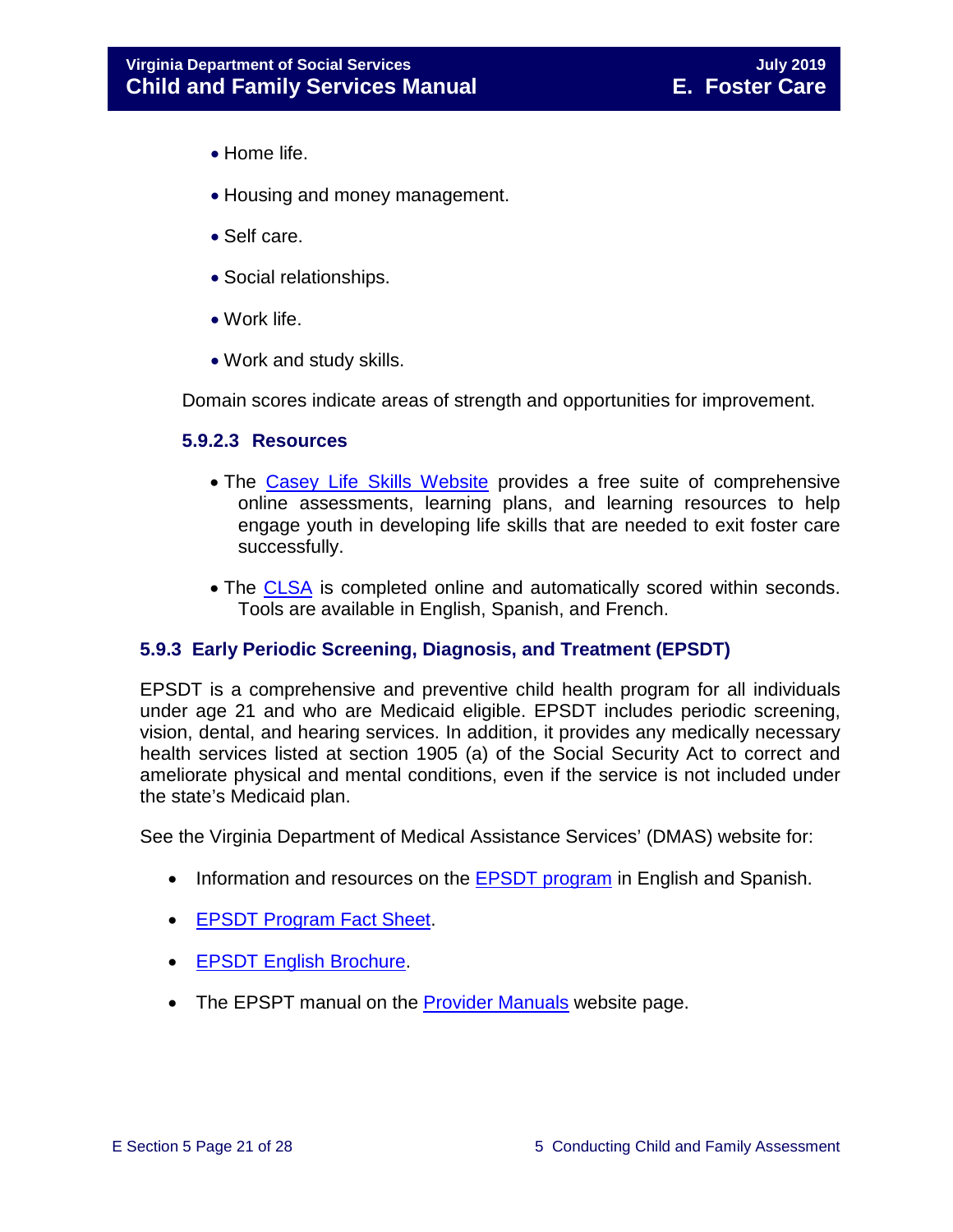- Home life.
- Housing and money management.
- Self care.
- Social relationships.
- Work life.
- Work and study skills.

Domain scores indicate areas of strength and opportunities for improvement.

#### <span id="page-20-0"></span>**5.9.2.3 Resources**

- The [Casey Life Skills Website](http://www.casey.org/Resources/Tools/cls/default.htm) provides a free suite of comprehensive online assessments, learning plans, and learning resources to help engage youth in developing life skills that are needed to exit foster care successfully.
- The [CLSA](http://lifeskills.casey.org/) is completed online and automatically scored within seconds. Tools are available in English, Spanish, and French.

#### <span id="page-20-1"></span>**5.9.3 Early Periodic Screening, Diagnosis, and Treatment (EPSDT)**

EPSDT is a comprehensive and preventive child health program for all individuals under age 21 and who are Medicaid eligible. EPSDT includes periodic screening, vision, dental, and hearing services. In addition, it provides any medically necessary health services listed at section 1905 (a) of the Social Security Act to correct and ameliorate physical and mental conditions, even if the service is not included under the state's Medicaid plan.

See the Virginia Department of Medical Assistance Services' (DMAS) website for:

- Information and resources on the **EPSDT** program in English and Spanish.
- [EPSDT Program Fact Sheet.](http://www.dmas.virginia.gov/Content_atchs/mch/mch-epsdt_fs.pdf)
- [EPSDT English Brochure.](http://www.dmas.virginia.gov/Content_atchs/mch/mch-epsdt_breng.pdf)
- The EPSPT manual on the [Provider Manuals](https://www.virginiamedicaid.dmas.virginia.gov/wps/portal/ProviderManual) website page.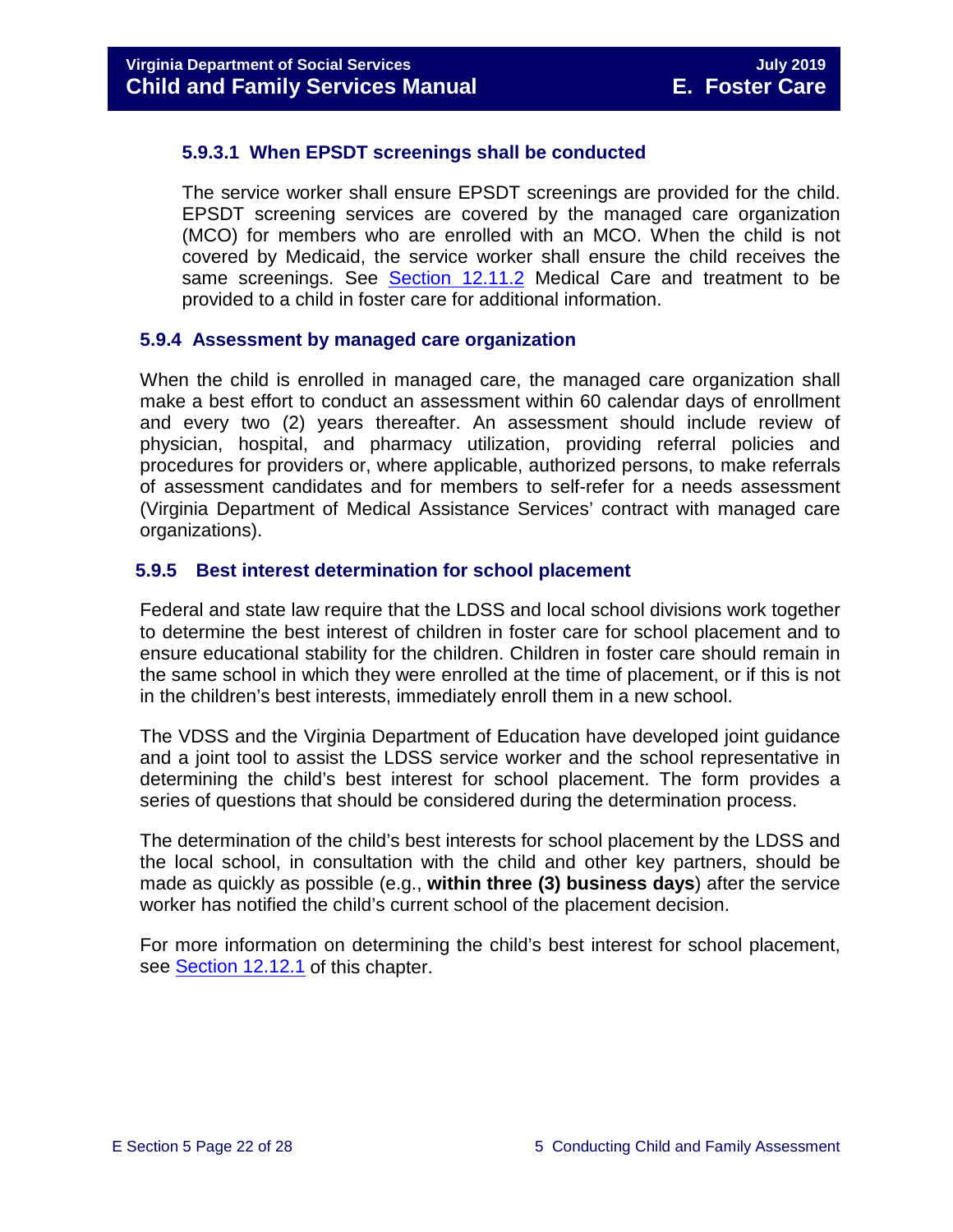#### <span id="page-21-0"></span>**5.9.3.1 When EPSDT screenings shall be conducted**

The service worker shall ensure EPSDT screenings are provided for the child. EPSDT screening services are covered by the managed care organization (MCO) for members who are enrolled with an MCO. When the child is not covered by Medicaid, the service worker shall ensure the child receives the same screenings. See [Section 12.11.2](https://fusion.dss.virginia.gov/Portals/%5bdfs%5d/Files/DFS%20Manuals/Foster%20Care%20Manuals/Foster%20Care%20Manual%2007-2019/section_12_identifying_services_to_be_provided.pdf#page=22) Medical Care and treatment to be provided to a child in foster care for additional information.

#### <span id="page-21-1"></span>**5.9.4 Assessment by managed care organization**

When the child is enrolled in managed care, the managed care organization shall make a best effort to conduct an assessment within 60 calendar days of enrollment and every two (2) years thereafter. An assessment should include review of physician, hospital, and pharmacy utilization, providing referral policies and procedures for providers or, where applicable, authorized persons, to make referrals of assessment candidates and for members to self-refer for a needs assessment (Virginia Department of Medical Assistance Services' contract with managed care organizations).

#### <span id="page-21-2"></span>**5.9.5 Best interest determination for school placement**

Federal and state law require that the LDSS and local school divisions work together to determine the best interest of children in foster care for school placement and to ensure educational stability for the children. Children in foster care should remain in the same school in which they were enrolled at the time of placement, or if this is not in the children's best interests, immediately enroll them in a new school.

The VDSS and the Virginia Department of Education have developed joint guidance and a joint tool to assist the LDSS service worker and the school representative in determining the child's best interest for school placement. The form provides a series of questions that should be considered during the determination process.

The determination of the child's best interests for school placement by the LDSS and the local school, in consultation with the child and other key partners, should be made as quickly as possible (e.g., **within three (3) business days**) after the service worker has notified the child's current school of the placement decision.

For more information on determining the child's best interest for school placement, see [Section](https://fusion.dss.virginia.gov/Portals/%5bdfs%5d/Files/DFS%20Manuals/Foster%20Care%20Manuals/Foster%20Care%20Manual%2007-2019/section_12_identifying_services_to_be_provided.pdf#page=50) 12.12.1 of this chapter.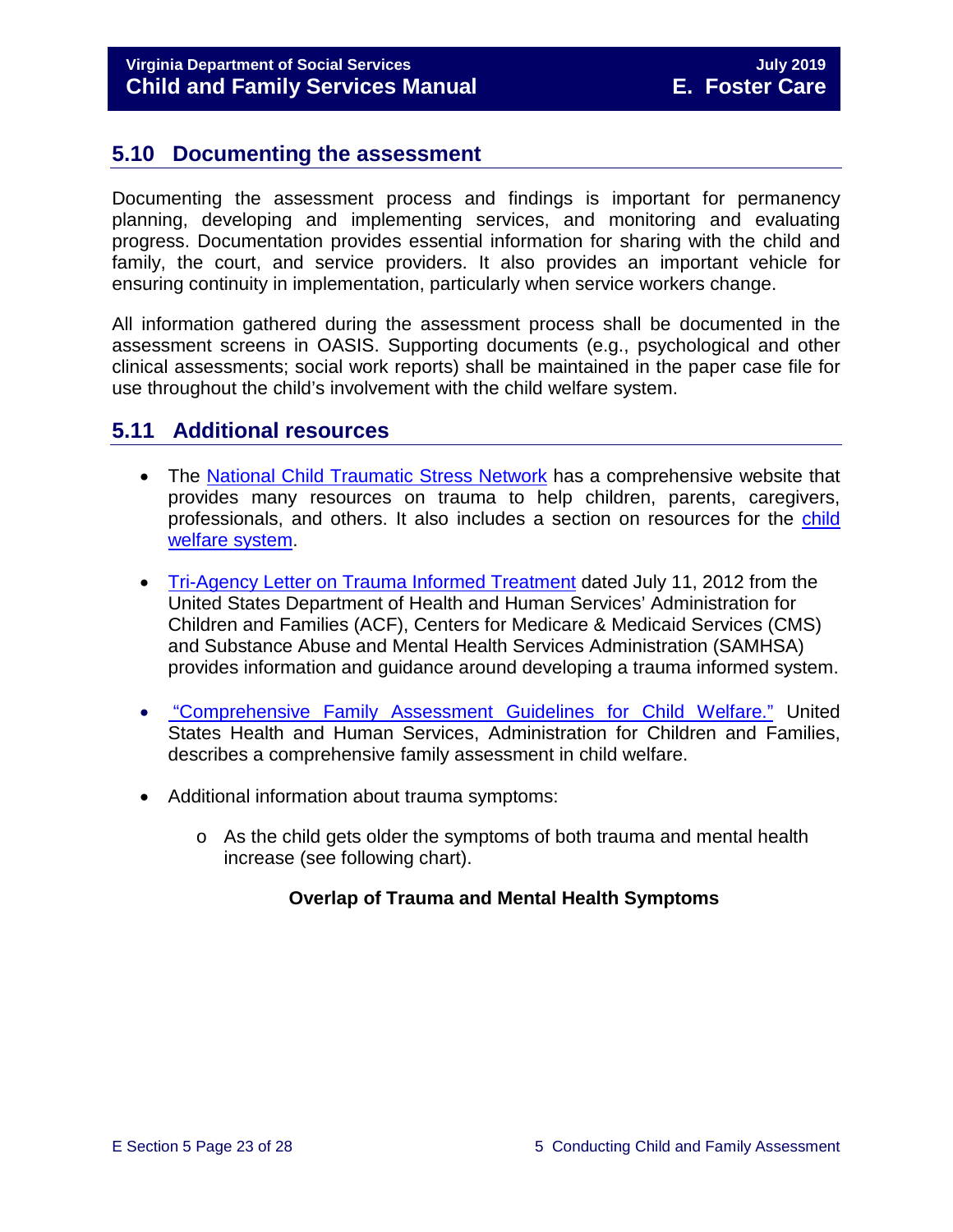# <span id="page-22-0"></span>**5.10 Documenting the assessment**

Documenting the assessment process and findings is important for permanency planning, developing and implementing services, and monitoring and evaluating progress. Documentation provides essential information for sharing with the child and family, the court, and service providers. It also provides an important vehicle for ensuring continuity in implementation, particularly when service workers change.

All information gathered during the assessment process shall be documented in the assessment screens in OASIS. Supporting documents (e.g., psychological and other clinical assessments; social work reports) shall be maintained in the paper case file for use throughout the child's involvement with the child welfare system.

# <span id="page-22-1"></span>**5.11 Additional resources**

- The [National Child Traumatic Stress Network](http://www.nctsn.org/) has a comprehensive website that provides many resources on trauma to help children, parents, caregivers, professionals, and others. It also includes a section on resources for the child [welfare system.](http://www.nctsn.org/resources/topics/child-welfare-system)
- [Tri-Agency Letter on Trauma Informed Treatment](http://www.medicaid.gov/Federal-Policy-Guidance/Downloads/SMD-13-07-11.pdf) dated July 11, 2012 from the United States Department of Health and Human Services' Administration for Children and Families (ACF), Centers for Medicare & Medicaid Services (CMS) and Substance Abuse and Mental Health Services Administration (SAMHSA) provides information and guidance around developing a trauma informed system.
- "Comprehensive [Family Assessment Guidelines for Child Welfare."](http://www.acf.hhs.gov/sites/default/files/cb/family_assessment.pdf) United States Health and Human Services, Administration for Children and Families, describes a comprehensive family assessment in child welfare.
- Additional information about trauma symptoms:
	- $\circ$  As the child gets older the symptoms of both trauma and mental health increase (see following chart).

#### **Overlap of Trauma and Mental Health Symptoms**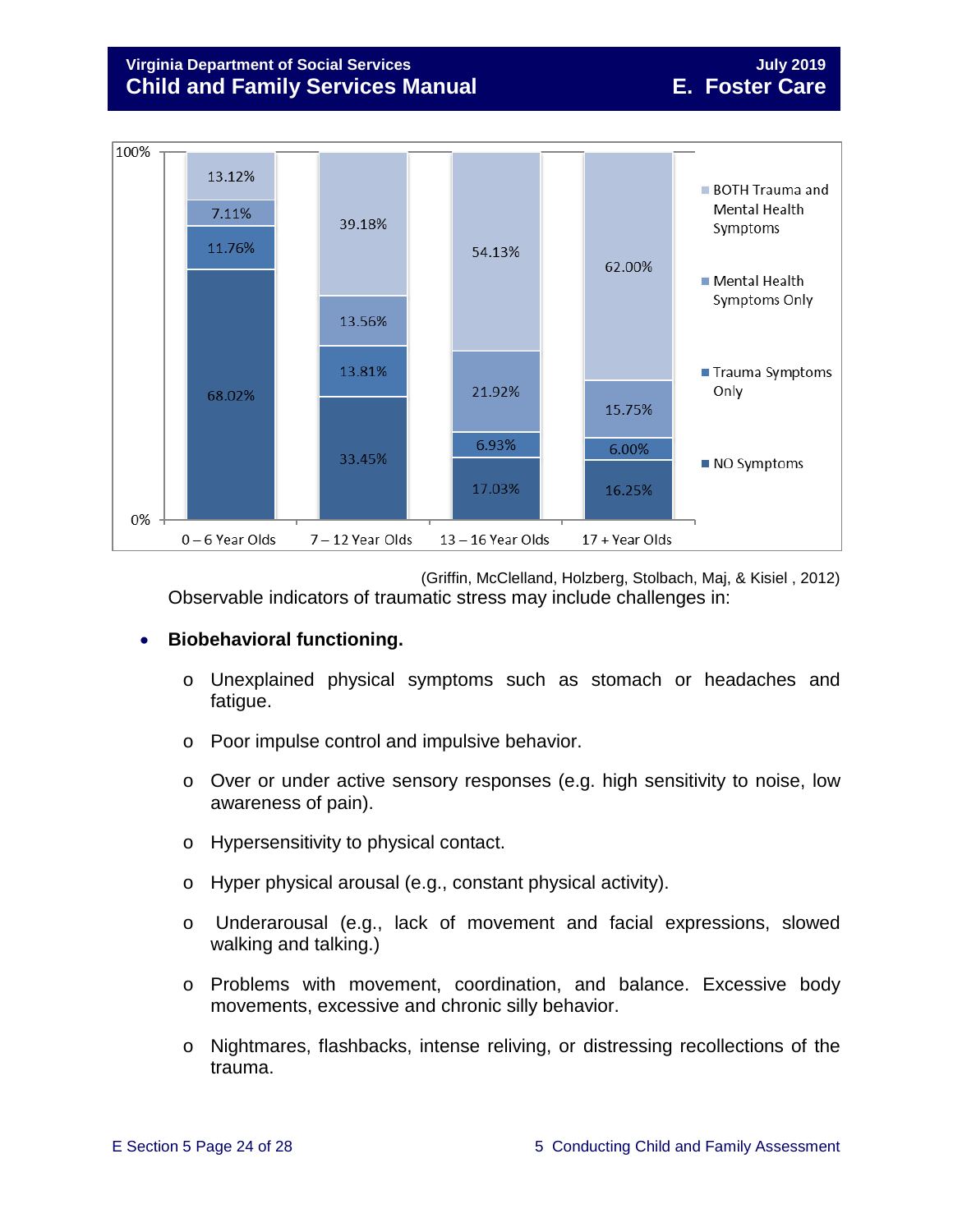# **Virginia Department of Social Services July 2019 Child and Family Services Manual E. Foster Care**



(Griffin, McClelland, Holzberg, Stolbach, Maj, & Kisiel , 2012) Observable indicators of traumatic stress may include challenges in:

#### • **Biobehavioral functioning.**

- o Unexplained physical symptoms such as stomach or headaches and fatigue.
- o Poor impulse control and impulsive behavior.
- o Over or under active sensory responses (e.g. high sensitivity to noise, low awareness of pain).
- o Hypersensitivity to physical contact.
- o Hyper physical arousal (e.g., constant physical activity).
- o Underarousal (e.g., lack of movement and facial expressions, slowed walking and talking.)
- o Problems with movement, coordination, and balance. Excessive body movements, excessive and chronic silly behavior.
- o Nightmares, flashbacks, intense reliving, or distressing recollections of the trauma.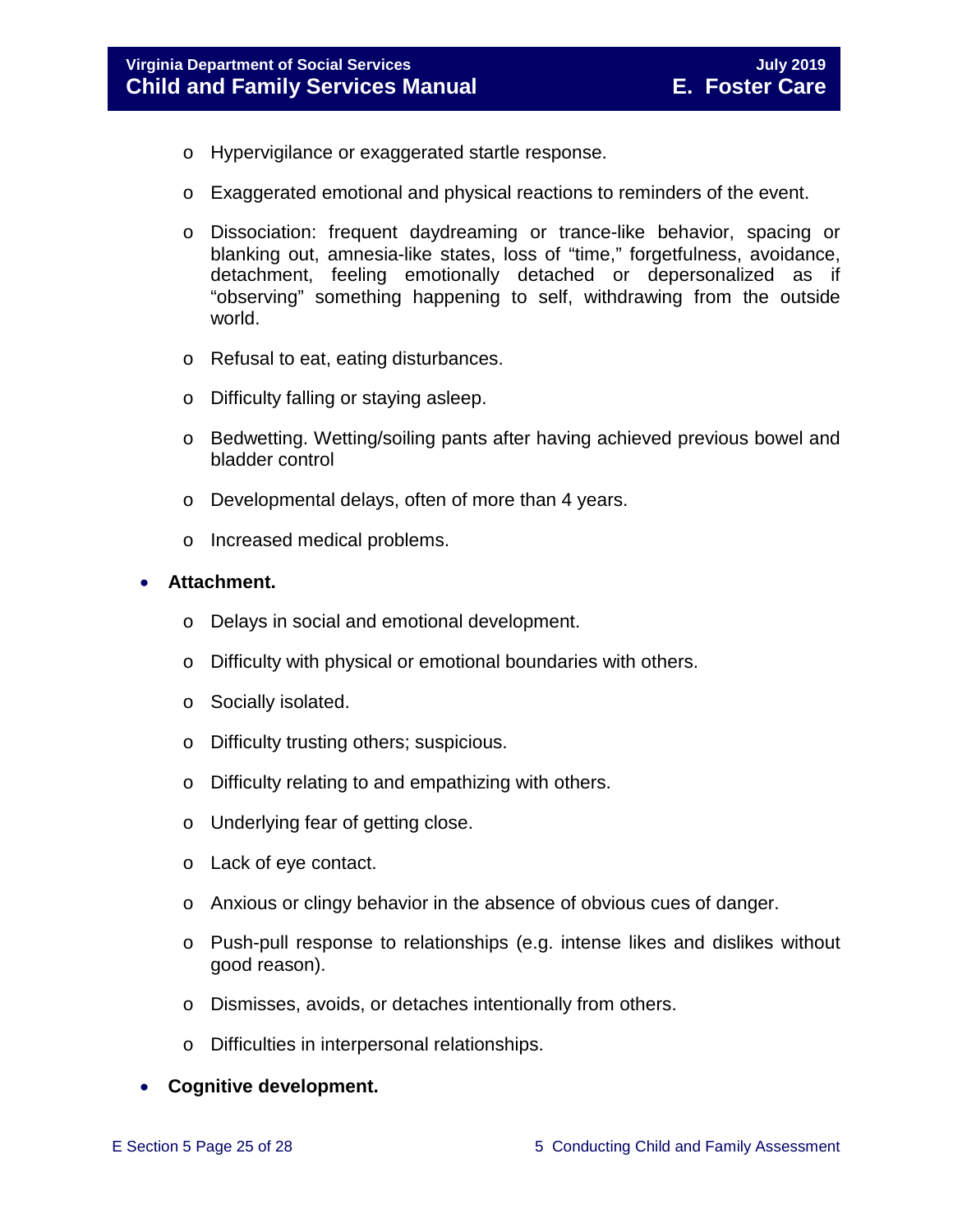- o Hypervigilance or exaggerated startle response.
- o Exaggerated emotional and physical reactions to reminders of the event.
- o Dissociation: frequent daydreaming or trance-like behavior, spacing or blanking out, amnesia-like states, loss of "time," forgetfulness, avoidance, detachment, feeling emotionally detached or depersonalized as if "observing" something happening to self, withdrawing from the outside world.
- o Refusal to eat, eating disturbances.
- o Difficulty falling or staying asleep.
- o Bedwetting. Wetting/soiling pants after having achieved previous bowel and bladder control
- o Developmental delays, often of more than 4 years.
- o Increased medical problems.

#### • **Attachment.**

- o Delays in social and emotional development.
- o Difficulty with physical or emotional boundaries with others.
- o Socially isolated.
- o Difficulty trusting others; suspicious.
- o Difficulty relating to and empathizing with others.
- o Underlying fear of getting close.
- o Lack of eye contact.
- o Anxious or clingy behavior in the absence of obvious cues of danger.
- o Push-pull response to relationships (e.g. intense likes and dislikes without good reason).
- o Dismisses, avoids, or detaches intentionally from others.
- o Difficulties in interpersonal relationships.

#### • **Cognitive development.**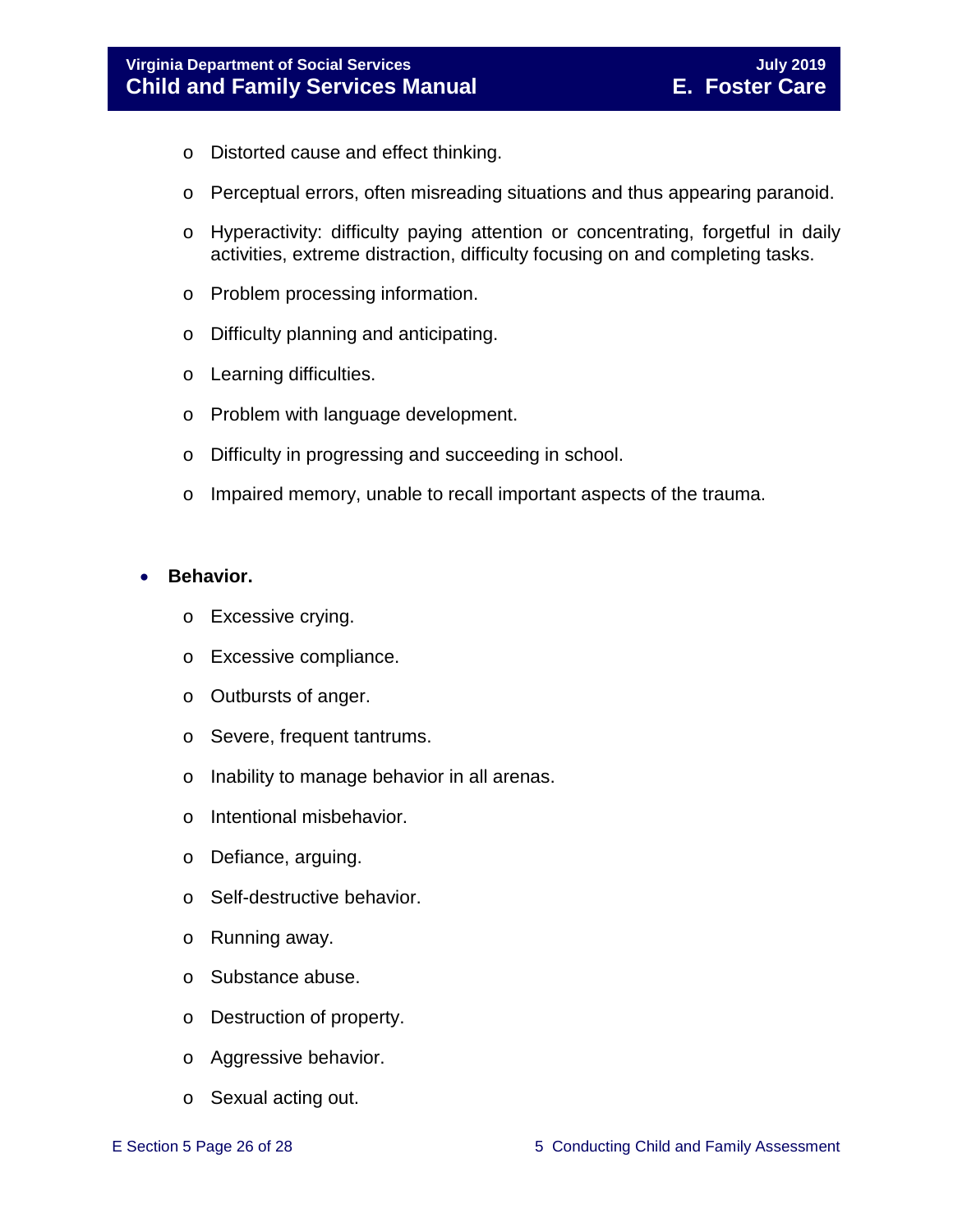- o Distorted cause and effect thinking.
- o Perceptual errors, often misreading situations and thus appearing paranoid.
- o Hyperactivity: difficulty paying attention or concentrating, forgetful in daily activities, extreme distraction, difficulty focusing on and completing tasks.
- o Problem processing information.
- o Difficulty planning and anticipating.
- o Learning difficulties.
- o Problem with language development.
- o Difficulty in progressing and succeeding in school.
- o Impaired memory, unable to recall important aspects of the trauma.

#### • **Behavior.**

- o Excessive crying.
- o Excessive compliance.
- o Outbursts of anger.
- o Severe, frequent tantrums.
- o Inability to manage behavior in all arenas.
- o Intentional misbehavior.
- o Defiance, arguing.
- o Self-destructive behavior.
- o Running away.
- o Substance abuse.
- o Destruction of property.
- o Aggressive behavior.
- o Sexual acting out.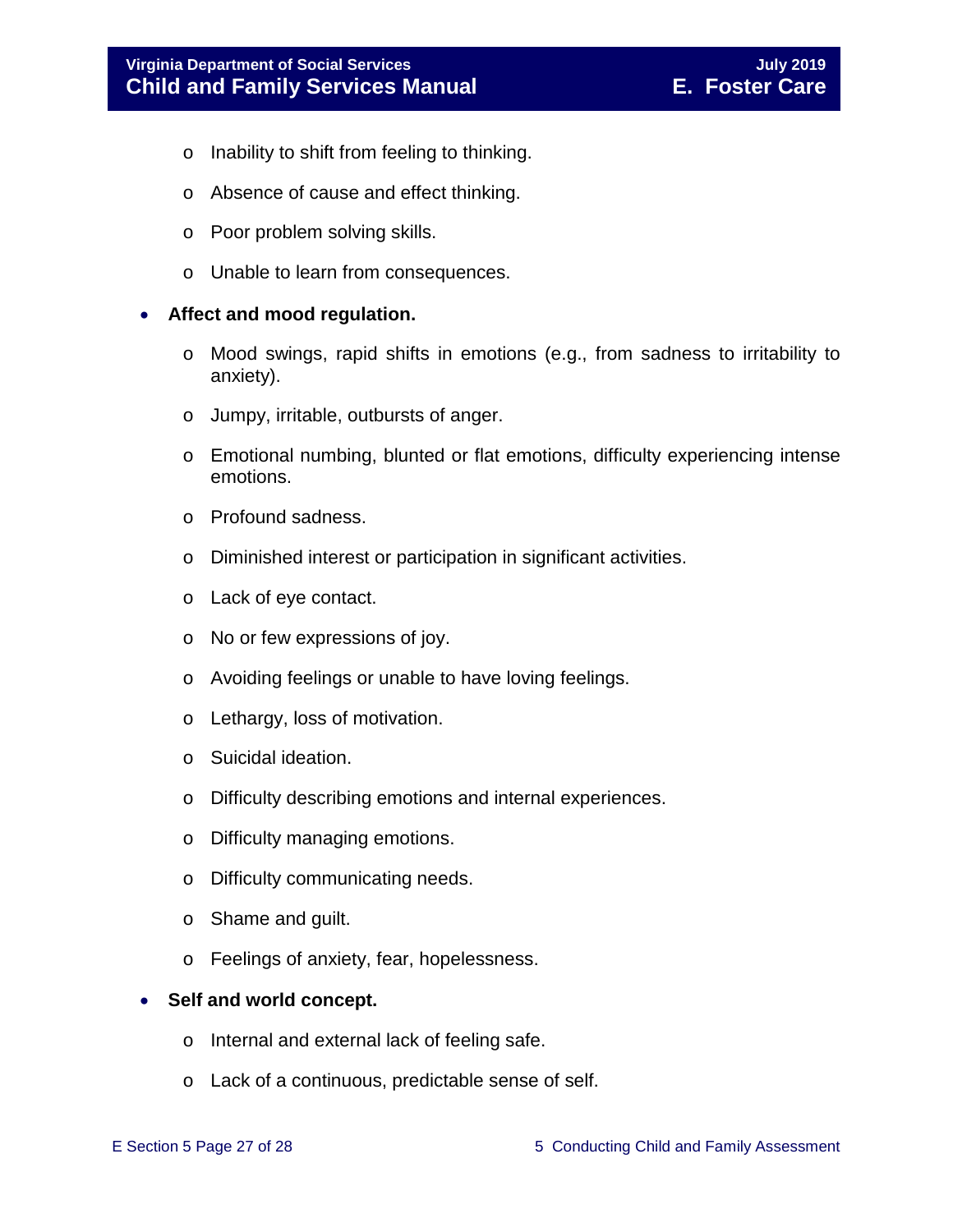- o Inability to shift from feeling to thinking.
- o Absence of cause and effect thinking.
- o Poor problem solving skills.
- o Unable to learn from consequences.

#### • **Affect and mood regulation.**

- o Mood swings, rapid shifts in emotions (e.g., from sadness to irritability to anxiety).
- o Jumpy, irritable, outbursts of anger.
- o Emotional numbing, blunted or flat emotions, difficulty experiencing intense emotions.
- o Profound sadness.
- o Diminished interest or participation in significant activities.
- o Lack of eye contact.
- o No or few expressions of joy.
- o Avoiding feelings or unable to have loving feelings.
- o Lethargy, loss of motivation.
- o Suicidal ideation.
- o Difficulty describing emotions and internal experiences.
- o Difficulty managing emotions.
- o Difficulty communicating needs.
- o Shame and guilt.
- o Feelings of anxiety, fear, hopelessness.

#### • **Self and world concept.**

- o Internal and external lack of feeling safe.
- o Lack of a continuous, predictable sense of self.